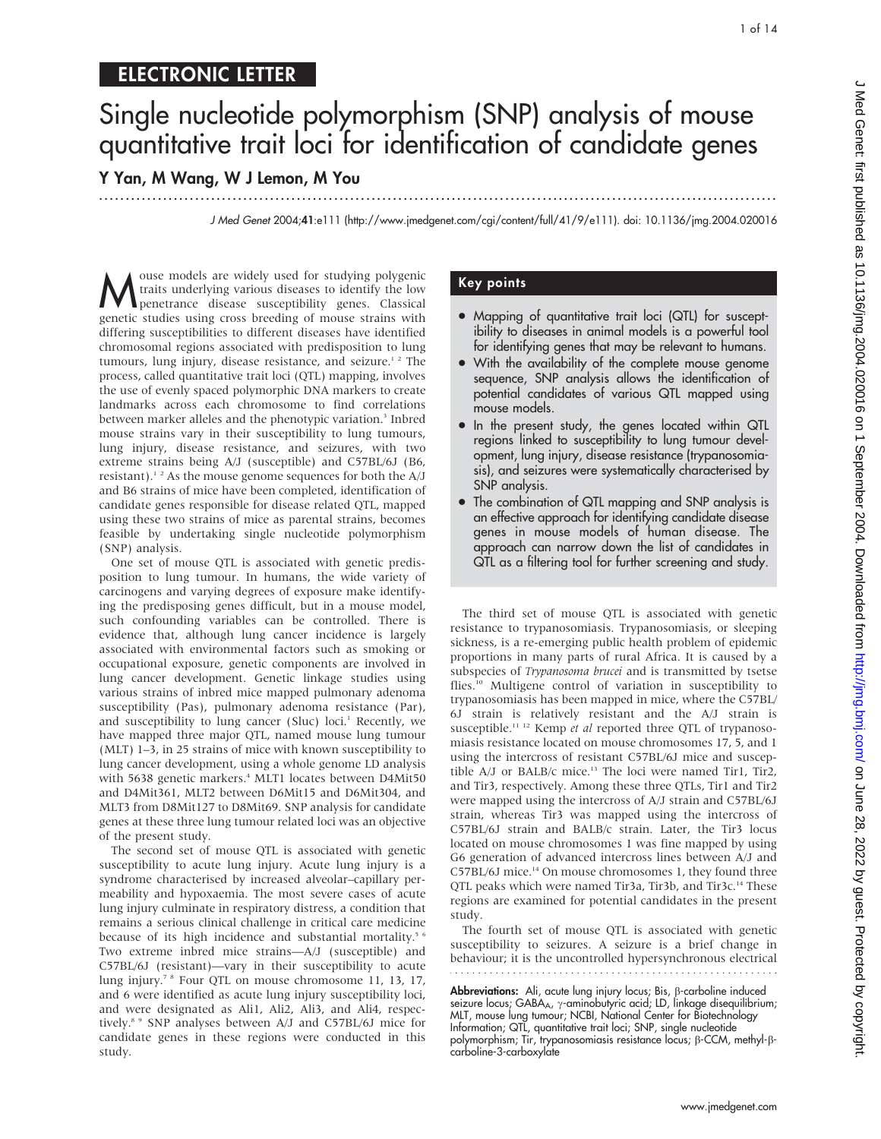## ELECTRONIC LETTER

...............................................................................................................................

# Single nucleotide polymorphism (SNP) analysis of mouse quantitative trait loci for identification of candidate genes

Y Yan, M Wang, W J Lemon, M You

J Med Genet 2004;41:e111 (http://www.jmedgenet.com/cgi/content/full/41/9/e111). doi: 10.1136/jmg.2004.020016

Mouse models are widely used for studying polygenic<br>traits underlying various diseases to identify the low<br>penetrance disease susceptibility genes. Classical<br>genetic studies using cross breeding of mouse strains with traits underlying various diseases to identify the low penetrance disease susceptibility genes. Classical genetic studies using cross breeding of mouse strains with differing susceptibilities to different diseases have identified chromosomal regions associated with predisposition to lung tumours, lung injury, disease resistance, and seizure.<sup>12</sup> The process, called quantitative trait loci (QTL) mapping, involves the use of evenly spaced polymorphic DNA markers to create landmarks across each chromosome to find correlations between marker alleles and the phenotypic variation.<sup>3</sup> Inbred mouse strains vary in their susceptibility to lung tumours, lung injury, disease resistance, and seizures, with two extreme strains being A/J (susceptible) and C57BL/6J (B6, resistant).<sup>12</sup> As the mouse genome sequences for both the  $A/J$ and B6 strains of mice have been completed, identification of candidate genes responsible for disease related QTL, mapped using these two strains of mice as parental strains, becomes feasible by undertaking single nucleotide polymorphism (SNP) analysis.

One set of mouse QTL is associated with genetic predisposition to lung tumour. In humans, the wide variety of carcinogens and varying degrees of exposure make identifying the predisposing genes difficult, but in a mouse model, such confounding variables can be controlled. There is evidence that, although lung cancer incidence is largely associated with environmental factors such as smoking or occupational exposure, genetic components are involved in lung cancer development. Genetic linkage studies using various strains of inbred mice mapped pulmonary adenoma susceptibility (Pas), pulmonary adenoma resistance (Par), and susceptibility to lung cancer (Sluc) loci.<sup>1</sup> Recently, we have mapped three major QTL, named mouse lung tumour (MLT) 1–3, in 25 strains of mice with known susceptibility to lung cancer development, using a whole genome LD analysis with 5638 genetic markers.<sup>4</sup> MLT1 locates between D4Mit50 and D4Mit361, MLT2 between D6Mit15 and D6Mit304, and MLT3 from D8Mit127 to D8Mit69. SNP analysis for candidate genes at these three lung tumour related loci was an objective of the present study.

The second set of mouse QTL is associated with genetic susceptibility to acute lung injury. Acute lung injury is a syndrome characterised by increased alveolar–capillary permeability and hypoxaemia. The most severe cases of acute lung injury culminate in respiratory distress, a condition that remains a serious clinical challenge in critical care medicine because of its high incidence and substantial mortality.<sup>5 6</sup> Two extreme inbred mice strains—A/J (susceptible) and C57BL/6J (resistant)—vary in their susceptibility to acute lung injury.7 8 Four QTL on mouse chromosome 11, 13, 17, and 6 were identified as acute lung injury susceptibility loci, and were designated as Ali1, Ali2, Ali3, and Ali4, respectively.8 9 SNP analyses between A/J and C57BL/6J mice for candidate genes in these regions were conducted in this study.

#### Key points

- Mapping of quantitative trait loci (QTL) for susceptibility to diseases in animal models is a powerful tool for identifying genes that may be relevant to humans.
- With the availability of the complete mouse genome sequence, SNP analysis allows the identification of potential candidates of various QTL mapped using mouse models.
- In the present study, the genes located within QTL regions linked to susceptibility to lung tumour development, lung injury, disease resistance (trypanosomiasis), and seizures were systematically characterised by SNP analysis.
- The combination of QTL mapping and SNP analysis is an effective approach for identifying candidate disease genes in mouse models of human disease. The approach can narrow down the list of candidates in QTL as a filtering tool for further screening and study.

The third set of mouse QTL is associated with genetic resistance to trypanosomiasis. Trypanosomiasis, or sleeping sickness, is a re-emerging public health problem of epidemic proportions in many parts of rural Africa. It is caused by a subspecies of Trypanosoma brucei and is transmitted by tsetse flies.10 Multigene control of variation in susceptibility to trypanosomiasis has been mapped in mice, where the C57BL/ 6J strain is relatively resistant and the A/J strain is susceptible.<sup>11 12</sup> Kemp et al reported three QTL of trypanosomiasis resistance located on mouse chromosomes 17, 5, and 1 using the intercross of resistant C57BL/6J mice and susceptible  $A/J$  or BALB/ $c$  mice.<sup>13</sup> The loci were named Tir1, Tir2, and Tir3, respectively. Among these three QTLs, Tir1 and Tir2 were mapped using the intercross of A/J strain and C57BL/6J strain, whereas Tir3 was mapped using the intercross of C57BL/6J strain and BALB/c strain. Later, the Tir3 locus located on mouse chromosomes 1 was fine mapped by using G6 generation of advanced intercross lines between A/J and C57BL/6J mice.<sup>14</sup> On mouse chromosomes 1, they found three QTL peaks which were named Tir3a, Tir3b, and Tir3c.<sup>14</sup> These regions are examined for potential candidates in the present study.

The fourth set of mouse QTL is associated with genetic susceptibility to seizures. A seizure is a brief change in behaviour; it is the uncontrolled hypersynchronous electrical

**Abbreviations:** Ali, acute lung injury locus; Bis, β-carboline induced seizure locus; GABA<sub>A</sub>,  $\gamma$ -aminobutyric acid; LD, linkage disequilibrium; MLT, mouse lung tumour; NCBI, National Center for Biotechnology Information; QTL, quantitative trait loci; SNP, single nucleotide polymorphism; Tir, trypanosomiasis resistance locus;  $\beta$ -CCM, methyl- $\beta$ carboline-3-carboxylate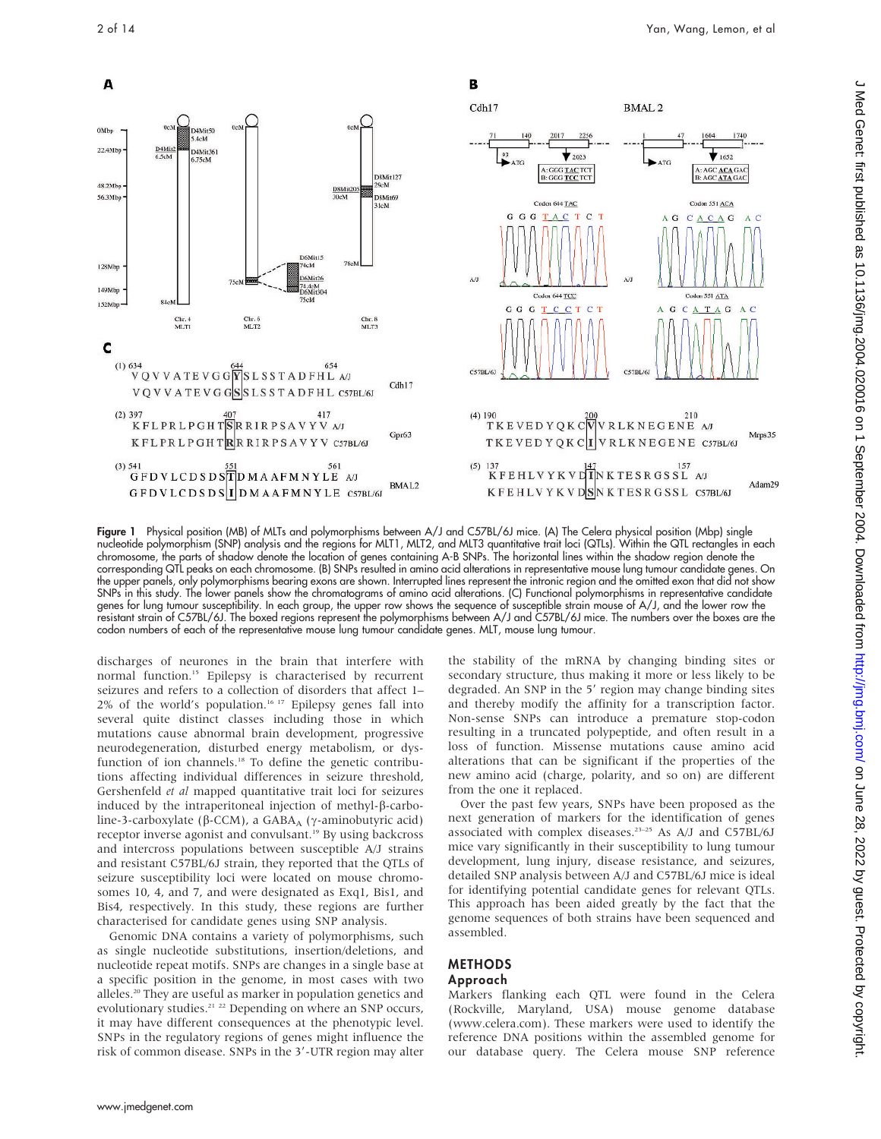

Figure 1 Physical position (MB) of MLTs and polymorphisms between A/J and C57BL/6J mice. (A) The Celera physical position (Mbp) single nucleotide polymorphism (SNP) analysis and the regions for MLT1, MLT2, and MLT3 quantitative trait loci (QTLs). Within the QTL rectangles in each chromosome, the parts of shadow denote the location of genes containing A-B SNPs. The horizontal lines within the shadow region denote the corresponding QTL peaks on each chromosome. (B) SNPs resulted in amino acid alterations in representative mouse lung tumour candidate genes. On the upper panels, only polymorphisms bearing exons are shown. Interrupted lines represent the intronic region and the omitted exon that did not show SNPs in this study. The lower panels show the chromatograms of amino acid alterations. (C) Functional polymorphisms in representative candidate genes for lung tumour susceptibility. In each group, the upper row shows the sequence of susceptible strain mouse of A/J, and the lower row the resistant strain of C57BL/6J. The boxed regions represent the polymorphisms between A/J and C57BL/6J mice. The numbers over the boxes are the codon numbers of each of the representative mouse lung tumour candidate genes. MLT, mouse lung tumour.

discharges of neurones in the brain that interfere with normal function.15 Epilepsy is characterised by recurrent seizures and refers to a collection of disorders that affect 1–  $2\%$  of the world's population.<sup>16-17</sup> Epilepsy genes fall into several quite distinct classes including those in which mutations cause abnormal brain development, progressive neurodegeneration, disturbed energy metabolism, or dysfunction of ion channels.<sup>18</sup> To define the genetic contributions affecting individual differences in seizure threshold, Gershenfeld et al mapped quantitative trait loci for seizures induced by the intraperitoneal injection of methyl- $\beta$ -carboline-3-carboxylate ( $\beta$ -CCM), a GABA<sub>A</sub> ( $\gamma$ -aminobutyric acid) receptor inverse agonist and convulsant.<sup>19</sup> By using backcross and intercross populations between susceptible A/J strains and resistant C57BL/6J strain, they reported that the QTLs of seizure susceptibility loci were located on mouse chromosomes 10, 4, and 7, and were designated as Exq1, Bis1, and Bis4, respectively. In this study, these regions are further characterised for candidate genes using SNP analysis.

Genomic DNA contains a variety of polymorphisms, such as single nucleotide substitutions, insertion/deletions, and nucleotide repeat motifs. SNPs are changes in a single base at a specific position in the genome, in most cases with two alleles.20 They are useful as marker in population genetics and evolutionary studies.<sup>21</sup> <sup>22</sup> Depending on where an SNP occurs, it may have different consequences at the phenotypic level. SNPs in the regulatory regions of genes might influence the risk of common disease. SNPs in the 3'-UTR region may alter

the stability of the mRNA by changing binding sites or secondary structure, thus making it more or less likely to be degraded. An SNP in the 5' region may change binding sites and thereby modify the affinity for a transcription factor. Non-sense SNPs can introduce a premature stop-codon resulting in a truncated polypeptide, and often result in a loss of function. Missense mutations cause amino acid alterations that can be significant if the properties of the new amino acid (charge, polarity, and so on) are different from the one it replaced.

Over the past few years, SNPs have been proposed as the next generation of markers for the identification of genes associated with complex diseases.23–25 As A/J and C57BL/6J mice vary significantly in their susceptibility to lung tumour development, lung injury, disease resistance, and seizures, detailed SNP analysis between A/J and C57BL/6J mice is ideal for identifying potential candidate genes for relevant QTLs. This approach has been aided greatly by the fact that the genome sequences of both strains have been sequenced and assembled.

### METHODS

### Approach

Markers flanking each QTL were found in the Celera (Rockville, Maryland, USA) mouse genome database (www.celera.com). These markers were used to identify the reference DNA positions within the assembled genome for our database query. The Celera mouse SNP reference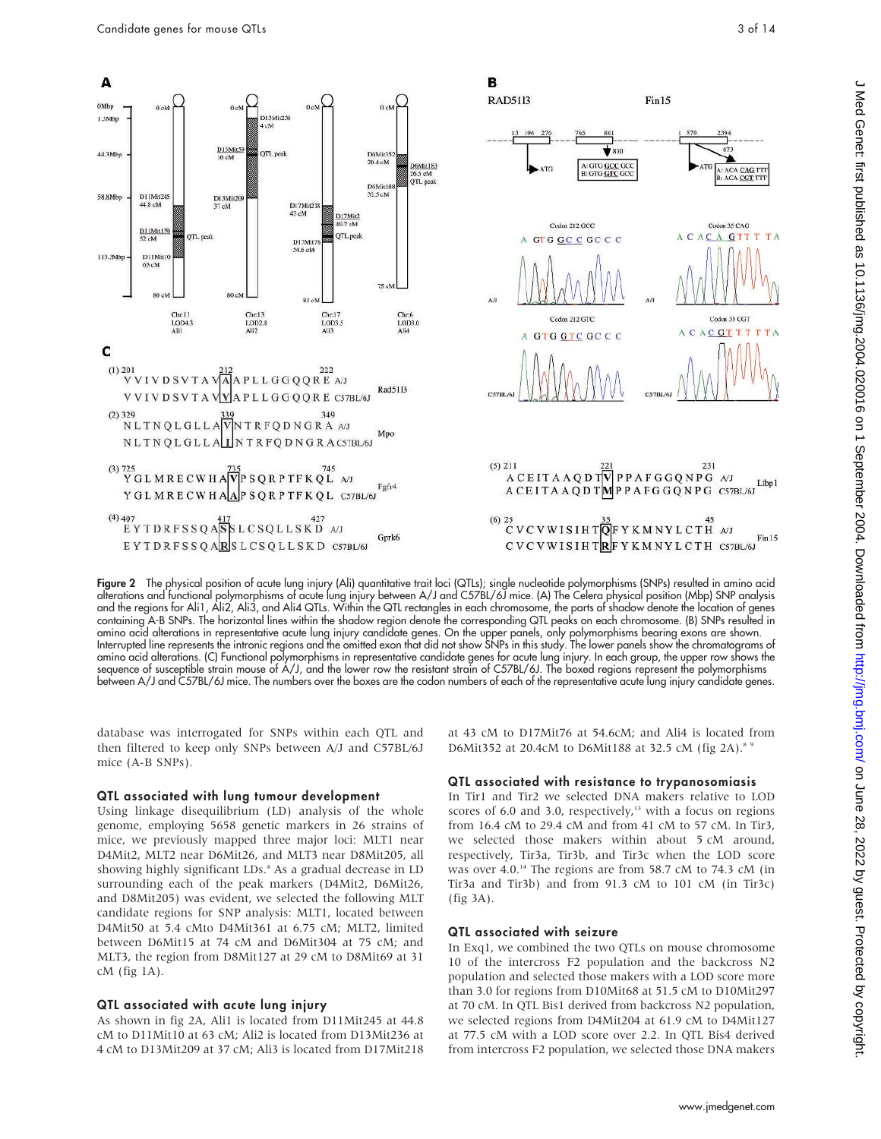

Figure 2 The physical position of acute lung injury (Ali) quantitative trait loci (QTLs); single nucleotide polymorphisms (SNPs) resulted in amino acid alterations and functional polymorphisms of acute lung injury between A/J and C57BL/6J mice. (A) The Celera physical position (Mbp) SNP analysis and the regions for Ali1, Ali2, Ali3, and Ali4 QTLs. Within the QTL rectangles in each chromosome, the parts of shadow denote the location of genes containing A-B SNPs. The horizontal lines within the shadow region denote the corresponding QTL peaks on each chromosome. (B) SNPs resulted in amino acid alterations in representative acute lung injury candidate genes. On the upper panels, only polymorphisms bearing exons are shown. Interrupted line represents the intronic regions and the omitted exon that did not show SNPs in this study. The lower panels show the chromatograms of amino acid alterations. (C) Functional polymorphisms in representative candidate genes for acute lung injury. In each group, the upper row shows the sequence of susceptible strain mouse of A/J, and the lower row the resistant strain of C57BL/6J. The boxed regions represent the polymorphisms between A/J and C57BL/6J mice. The numbers over the boxes are the codon numbers of each of the representative acute lung injury candidate genes.

database was interrogated for SNPs within each QTL and then filtered to keep only SNPs between A/J and C57BL/6J mice (A-B SNPs).

#### QTL associated with lung tumour development

Using linkage disequilibrium (LD) analysis of the whole genome, employing 5658 genetic markers in 26 strains of mice, we previously mapped three major loci: MLT1 near D4Mit2, MLT2 near D6Mit26, and MLT3 near D8Mit205, all showing highly significant LDs.<sup>4</sup> As a gradual decrease in LD surrounding each of the peak markers (D4Mit2, D6Mit26, and D8Mit205) was evident, we selected the following MLT candidate regions for SNP analysis: MLT1, located between D4Mit50 at 5.4 cMto D4Mit361 at 6.75 cM; MLT2, limited between D6Mit15 at 74 cM and D6Mit304 at 75 cM; and MLT3, the region from D8Mit127 at 29 cM to D8Mit69 at 31 cM (fig 1A).

#### QTL associated with acute lung injury

As shown in fig 2A, Ali1 is located from D11Mit245 at 44.8 cM to D11Mit10 at 63 cM; Ali2 is located from D13Mit236 at 4 cM to D13Mit209 at 37 cM; Ali3 is located from D17Mit218

at 43 cM to D17Mit76 at 54.6cM; and Ali4 is located from D6Mit352 at 20.4cM to D6Mit188 at 32.5 cM (fig 2A).8 9

#### QTL associated with resistance to trypanosomiasis

In Tir1 and Tir2 we selected DNA makers relative to LOD scores of 6.0 and 3.0, respectively, $13$  with a focus on regions from 16.4 cM to 29.4 cM and from 41 cM to 57 cM. In Tir3, we selected those makers within about 5 cM around, respectively, Tir3a, Tir3b, and Tir3c when the LOD score was over  $4.0$ .<sup>14</sup> The regions are from 58.7 cM to 74.3 cM (in Tir3a and Tir3b) and from 91.3 cM to 101 cM (in Tir3c) (fig 3A).

#### QTL associated with seizure

In Exq1, we combined the two QTLs on mouse chromosome 10 of the intercross F2 population and the backcross N2 population and selected those makers with a LOD score more than 3.0 for regions from D10Mit68 at 51.5 cM to D10Mit297 at 70 cM. In QTL Bis1 derived from backcross N2 population, we selected regions from D4Mit204 at 61.9 cM to D4Mit127 at 77.5 cM with a LOD score over 2.2. In QTL Bis4 derived from intercross F2 population, we selected those DNA makers

www.jmedgenet.com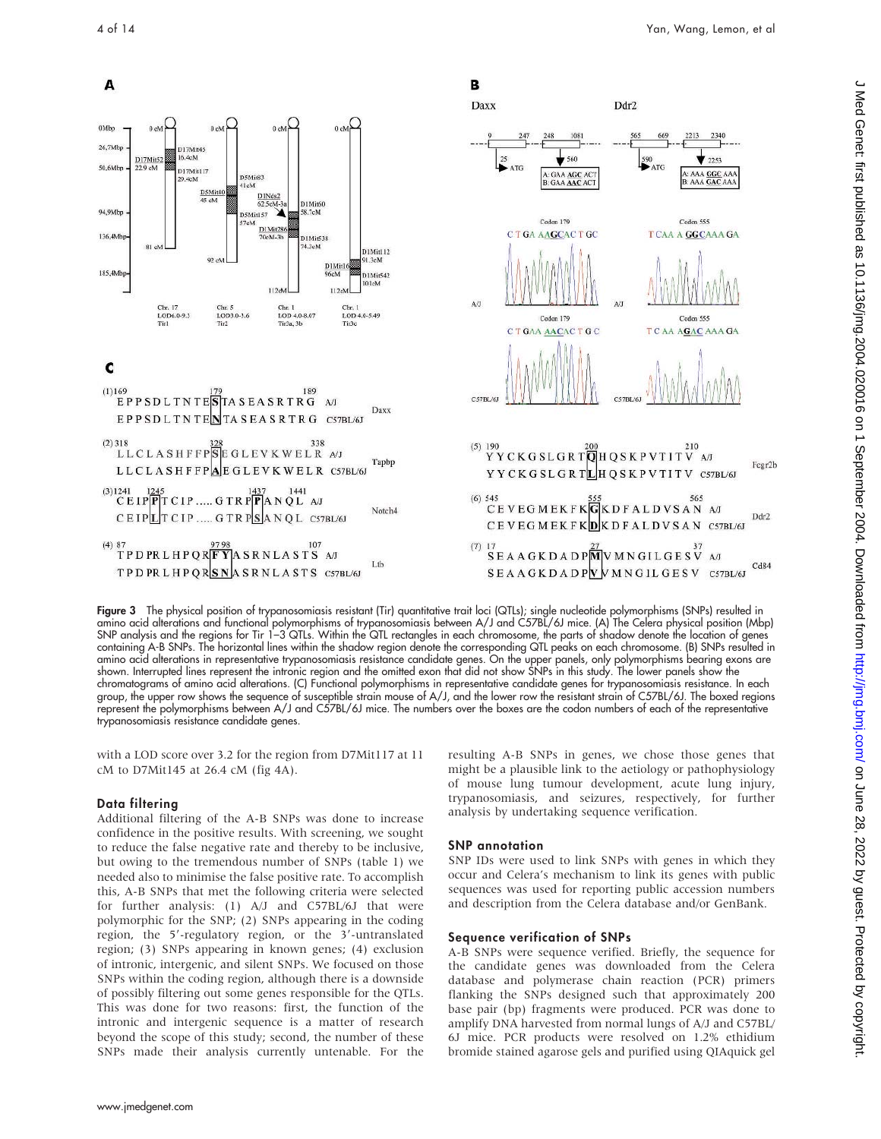

Figure 3 The physical position of trypanosomiasis resistant (Tir) quantitative trait loci (QTLs); single nucleotide polymorphisms (SNPs) resulted in amino acid alterations and functional polymorphisms of trypanosomiasis between A/J and C57BL/6J mice. (A) The Celera physical position (Mbp) SNP analysis and the regions for Tir 1–3 QTLs. Within the QTL rectangles in each chromosome, the parts of shadow denote the location of genes containing A-B SNPs. The horizontal lines within the shadow region denote the corresponding QTL peaks on each chromosome. (B) SNPs resulted in amino acid alterations in representative trypanosomiasis resistance candidate genes. On the upper panels, only polymorphisms bearing exons are shown. Interrupted lines represent the intronic region and the omitted exon that did not show SNPs in this study. The lower panels show the chromatograms of amino acid alterations. (C) Functional polymorphisms in representative candidate genes for trypanosomiasis resistance. In each group, the upper row shows the sequence of susceptible strain mouse of A/J, and the lower row the resistant strain of C57BL/6J. The boxed regions represent the polymorphisms between A/J and C57BL/6J mice. The numbers over the boxes are the codon numbers of each of the representative trypanosomiasis resistance candidate genes.

with a LOD score over 3.2 for the region from D7Mit117 at 11 cM to D7Mit145 at 26.4 cM (fig 4A).

#### Data filtering

Additional filtering of the A-B SNPs was done to increase confidence in the positive results. With screening, we sought to reduce the false negative rate and thereby to be inclusive, but owing to the tremendous number of SNPs (table 1) we needed also to minimise the false positive rate. To accomplish this, A-B SNPs that met the following criteria were selected for further analysis: (1) A/J and C57BL/6J that were polymorphic for the SNP; (2) SNPs appearing in the coding region, the 5'-regulatory region, or the 3'-untranslated region; (3) SNPs appearing in known genes; (4) exclusion of intronic, intergenic, and silent SNPs. We focused on those SNPs within the coding region, although there is a downside of possibly filtering out some genes responsible for the QTLs. This was done for two reasons: first, the function of the intronic and intergenic sequence is a matter of research beyond the scope of this study; second, the number of these SNPs made their analysis currently untenable. For the

resulting A-B SNPs in genes, we chose those genes that might be a plausible link to the aetiology or pathophysiology of mouse lung tumour development, acute lung injury, trypanosomiasis, and seizures, respectively, for further analysis by undertaking sequence verification.

#### SNP annotation

SNP IDs were used to link SNPs with genes in which they occur and Celera's mechanism to link its genes with public sequences was used for reporting public accession numbers and description from the Celera database and/or GenBank.

#### Sequence verification of SNPs

A-B SNPs were sequence verified. Briefly, the sequence for the candidate genes was downloaded from the Celera database and polymerase chain reaction (PCR) primers flanking the SNPs designed such that approximately 200 base pair (bp) fragments were produced. PCR was done to amplify DNA harvested from normal lungs of A/J and C57BL/ 6J mice. PCR products were resolved on 1.2% ethidium bromide stained agarose gels and purified using QIAquick gel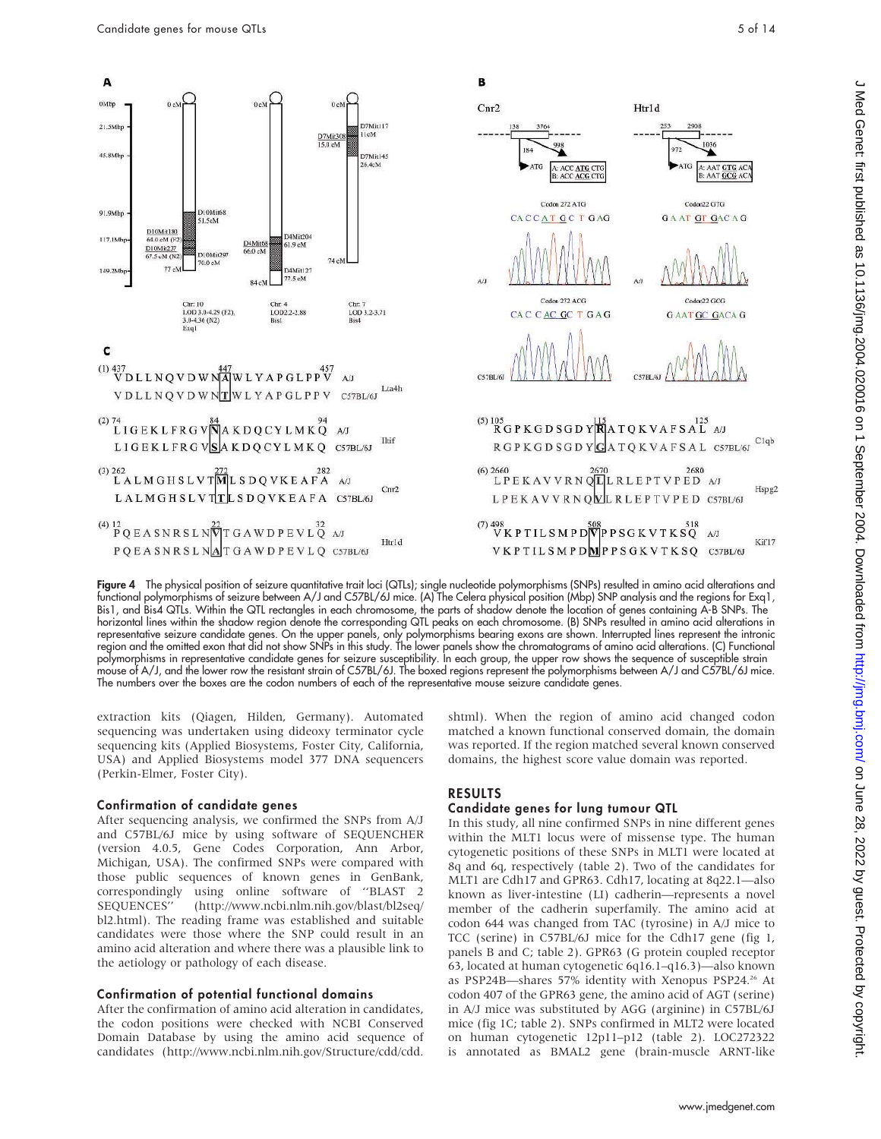

Figure 4 The physical position of seizure quantitative trait loci (QTLs); single nucleotide polymorphisms (SNPs) resulted in amino acid alterations and functional polymorphisms of seizure between A/J and C57BL/6J mice. (A) The Celera physical position (Mbp) SNP analysis and the regions for Exq1, Bis1, and Bis4 QTLs. Within the QTL rectangles in each chromosome, the parts of shadow denote the location of genes containing A-B SNPs. The horizontal lines within the shadow region denote the corresponding QTL peaks on each chromosome. (B) SNPs resulted in amino acid alterations in representative seizure candidate genes. On the upper panels, only polymorphisms bearing exons are shown. Interrupted lines represent the intronic region and the omitted exon that did not show SNPs in this study. The lower panels show the chromatograms of amino acid alterations. (C) Functional polymorphisms in representative candidate genes for seizure susceptibility. In each group, the upper row shows the sequence of susceptible strain mouse of A/J, and the lower row the resistant strain of C57BL/6J. The boxed regions represent the polymorphisms between A/J and C57BL/6J mice. The numbers over the boxes are the codon numbers of each of the representative mouse seizure candidate genes.

extraction kits (Qiagen, Hilden, Germany). Automated sequencing was undertaken using dideoxy terminator cycle sequencing kits (Applied Biosystems, Foster City, California, USA) and Applied Biosystems model 377 DNA sequencers (Perkin-Elmer, Foster City).

#### Confirmation of candidate genes

After sequencing analysis, we confirmed the SNPs from A/J and C57BL/6J mice by using software of SEQUENCHER (version 4.0.5, Gene Codes Corporation, Ann Arbor, Michigan, USA). The confirmed SNPs were compared with those public sequences of known genes in GenBank, correspondingly using online software of ''BLAST 2 SEQUENCES'' (http://www.ncbi.nlm.nih.gov/blast/bl2seq/ bl2.html). The reading frame was established and suitable candidates were those where the SNP could result in an amino acid alteration and where there was a plausible link to the aetiology or pathology of each disease.

#### Confirmation of potential functional domains

After the confirmation of amino acid alteration in candidates, the codon positions were checked with NCBI Conserved Domain Database by using the amino acid sequence of candidates (http://www.ncbi.nlm.nih.gov/Structure/cdd/cdd.

shtml). When the region of amino acid changed codon matched a known functional conserved domain, the domain was reported. If the region matched several known conserved domains, the highest score value domain was reported.

#### RESULTS

#### Candidate genes for lung tumour QTL

In this study, all nine confirmed SNPs in nine different genes within the MLT1 locus were of missense type. The human cytogenetic positions of these SNPs in MLT1 were located at 8q and 6q, respectively (table 2). Two of the candidates for MLT1 are Cdh17 and GPR63. Cdh17, locating at 8q22.1—also known as liver-intestine (LI) cadherin—represents a novel member of the cadherin superfamily. The amino acid at codon 644 was changed from TAC (tyrosine) in A/J mice to TCC (serine) in C57BL/6J mice for the Cdh17 gene (fig 1, panels B and C; table 2). GPR63 (G protein coupled receptor 63, located at human cytogenetic 6q16.1–q16.3)—also known as PSP24B-shares 57% identity with Xenopus PSP24.<sup>26</sup> At codon 407 of the GPR63 gene, the amino acid of AGT (serine) in A/J mice was substituted by AGG (arginine) in C57BL/6J mice (fig 1C; table 2). SNPs confirmed in MLT2 were located on human cytogenetic 12p11–p12 (table 2). LOC272322 is annotated as BMAL2 gene (brain-muscle ARNT-like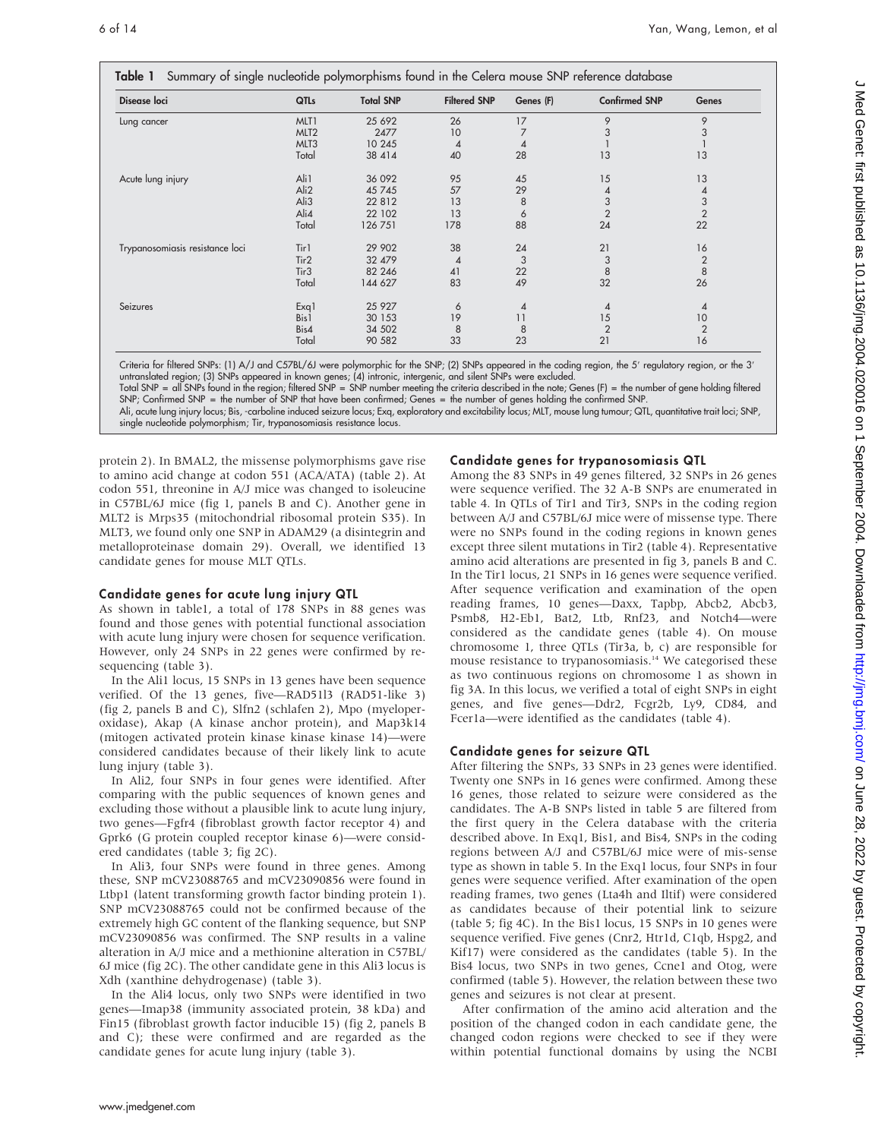| Disease loci                    | QTLs             | <b>Total SNP</b> | <b>Filtered SNP</b> | Genes (F)      | <b>Confirmed SNP</b> | Genes          |
|---------------------------------|------------------|------------------|---------------------|----------------|----------------------|----------------|
| Lung cancer                     | MLT1             | 25 692           | 26                  | 17             | 9                    | 9              |
|                                 | MLT <sub>2</sub> | 2477             | 10                  |                | 3                    | 3              |
|                                 | MLT <sub>3</sub> | 10 245           | 4                   | $\overline{4}$ |                      |                |
|                                 | Total            | 38 414           | 40                  | 28             | 13                   | 13             |
| Acute lung injury               | Ali1             | 36 092           | 95                  | 45             | 15                   | 13             |
|                                 | Ali2             | 45 745           | 57                  | 29             | 4                    | 4              |
|                                 | Ali3             | 22 8 12          | 13                  | 8              | 3                    | $\frac{3}{2}$  |
|                                 | Ali4             | 22 102           | 13                  | 6              | $\overline{2}$       |                |
|                                 | Total            | 126 751          | 178                 | 88             | 24                   | 22             |
| Trypanosomiasis resistance loci | Tir1             | 29 902           | 38                  | 24             | 21                   | 16             |
|                                 | Tir2             | 32 479           | $\overline{4}$      | 3              | 3                    | $\sqrt{2}$     |
|                                 | Tir <sub>3</sub> | 82 246           | 41                  | 22             | 8                    | $\,8\,$        |
|                                 | Total            | 144 627          | 83                  | 49             | 32                   | 26             |
| Seizures                        | Exq1             | 25 9 27          | 6                   | 4              | 4                    | 4              |
|                                 | Bis1             | 30 153           | 19                  | 11             | 15                   | 10             |
|                                 | Bis4             | 34 502           | 8                   | 8              | $\overline{2}$       | $\overline{2}$ |
|                                 | Total            | 90 582           | 33                  | 23             | 21                   | 16             |

Criteria for filtered SNPs: (1) A/J and C57BL/6J were polymorphic for the SNP; (2) SNPs appeared in the coding region, the 5' regulatory region, or the 3' untranslated region; (3) SNPs appeared in known genes; (4) intronic, intergenic, and silent SNPs were excluded.

Total SNP = all SNPs found in the region; filtered SNP = SNP number meeting the criteria described in the note; Genes (F) = the number of gene holding filtered SNP; Confirmed SNP = the number of SNP that have been confirmed; Genes = the number of genes holding the confirmed SNP.

Ali, acute lung injury locus; Bis, -carboline induced seizure locus; Exq, exploratory and excitability locus; MLT, mouse lung tumour; QTL, quantitative trait loci; SNP, single nucleotide polymorphism; Tir, trypanosomiasis resistance locus.

protein 2). In BMAL2, the missense polymorphisms gave rise to amino acid change at codon 551 (ACA/ATA) (table 2). At codon 551, threonine in A/J mice was changed to isoleucine in C57BL/6J mice (fig 1, panels B and C). Another gene in MLT2 is Mrps35 (mitochondrial ribosomal protein S35). In MLT3, we found only one SNP in ADAM29 (a disintegrin and metalloproteinase domain 29). Overall, we identified 13 candidate genes for mouse MLT QTLs.

#### Candidate genes for acute lung injury QTL

As shown in table1, a total of 178 SNPs in 88 genes was found and those genes with potential functional association with acute lung injury were chosen for sequence verification. However, only 24 SNPs in 22 genes were confirmed by resequencing (table 3).

In the Ali1 locus, 15 SNPs in 13 genes have been sequence verified. Of the 13 genes, five—RAD51l3 (RAD51-like 3) (fig 2, panels B and C), Slfn2 (schlafen 2), Mpo (myeloperoxidase), Akap (A kinase anchor protein), and Map3k14 (mitogen activated protein kinase kinase kinase 14)—were considered candidates because of their likely link to acute lung injury (table 3).

In Ali2, four SNPs in four genes were identified. After comparing with the public sequences of known genes and excluding those without a plausible link to acute lung injury, two genes—Fgfr4 (fibroblast growth factor receptor 4) and Gprk6 (G protein coupled receptor kinase 6)—were considered candidates (table 3; fig 2C).

In Ali3, four SNPs were found in three genes. Among these, SNP mCV23088765 and mCV23090856 were found in Ltbp1 (latent transforming growth factor binding protein 1). SNP mCV23088765 could not be confirmed because of the extremely high GC content of the flanking sequence, but SNP mCV23090856 was confirmed. The SNP results in a valine alteration in A/J mice and a methionine alteration in C57BL/ 6J mice (fig 2C). The other candidate gene in this Ali3 locus is Xdh (xanthine dehydrogenase) (table 3).

In the Ali4 locus, only two SNPs were identified in two genes—Imap38 (immunity associated protein, 38 kDa) and Fin15 (fibroblast growth factor inducible 15) (fig 2, panels B and C); these were confirmed and are regarded as the candidate genes for acute lung injury (table 3).

#### Candidate genes for trypanosomiasis QTL

Among the 83 SNPs in 49 genes filtered, 32 SNPs in 26 genes were sequence verified. The 32 A-B SNPs are enumerated in table 4. In QTLs of Tir1 and Tir3, SNPs in the coding region between A/J and C57BL/6J mice were of missense type. There were no SNPs found in the coding regions in known genes except three silent mutations in Tir2 (table 4). Representative amino acid alterations are presented in fig 3, panels B and C. In the Tir1 locus, 21 SNPs in 16 genes were sequence verified. After sequence verification and examination of the open reading frames, 10 genes—Daxx, Tapbp, Abcb2, Abcb3, Psmb8, H2-Eb1, Bat2, Ltb, Rnf23, and Notch4—were considered as the candidate genes (table 4). On mouse chromosome 1, three QTLs (Tir3a, b, c) are responsible for mouse resistance to trypanosomiasis.<sup>14</sup> We categorised these as two continuous regions on chromosome 1 as shown in fig 3A. In this locus, we verified a total of eight SNPs in eight genes, and five genes—Ddr2, Fcgr2b, Ly9, CD84, and Fcer1a—were identified as the candidates (table 4).

#### Candidate genes for seizure QTL

After filtering the SNPs, 33 SNPs in 23 genes were identified. Twenty one SNPs in 16 genes were confirmed. Among these 16 genes, those related to seizure were considered as the candidates. The A-B SNPs listed in table 5 are filtered from the first query in the Celera database with the criteria described above. In Exq1, Bis1, and Bis4, SNPs in the coding regions between A/J and C57BL/6J mice were of mis-sense type as shown in table 5. In the Exq1 locus, four SNPs in four genes were sequence verified. After examination of the open reading frames, two genes (Lta4h and Iltif) were considered as candidates because of their potential link to seizure (table 5; fig 4C). In the Bis1 locus, 15 SNPs in 10 genes were sequence verified. Five genes (Cnr2, Htr1d, C1qb, Hspg2, and Kif17) were considered as the candidates (table 5). In the Bis4 locus, two SNPs in two genes, Ccne1 and Otog, were confirmed (table 5). However, the relation between these two genes and seizures is not clear at present.

After confirmation of the amino acid alteration and the position of the changed codon in each candidate gene, the changed codon regions were checked to see if they were within potential functional domains by using the NCBI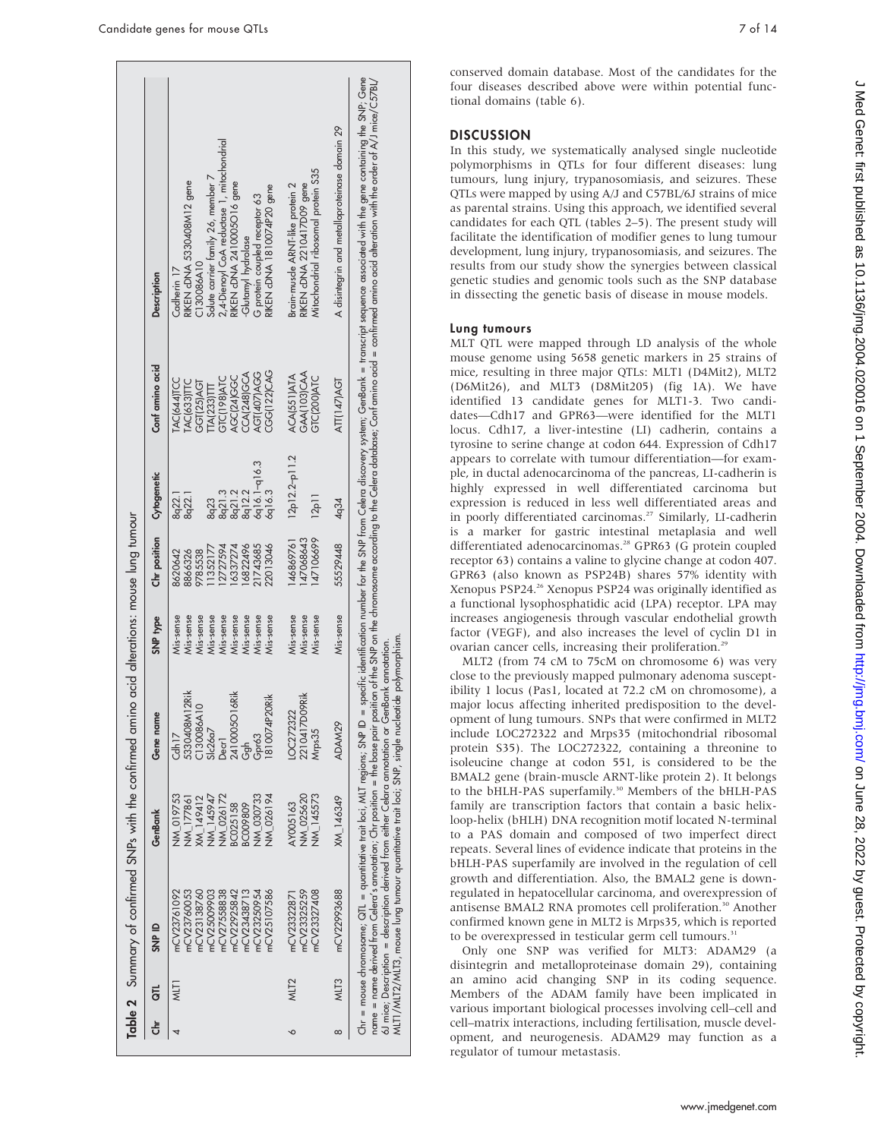|        |                  |                                                                                                                                                           |                                                                                                                                      | Table 2 Summary of confirmed SNPs with the confirmed amino acid alterations: mouse lung tumour                            |                                                                                                                   |                                                                                                  |                                                                                               |                                                                                                                                  |                                                                                                                                                                                                                                                                                                                                                                                            |
|--------|------------------|-----------------------------------------------------------------------------------------------------------------------------------------------------------|--------------------------------------------------------------------------------------------------------------------------------------|---------------------------------------------------------------------------------------------------------------------------|-------------------------------------------------------------------------------------------------------------------|--------------------------------------------------------------------------------------------------|-----------------------------------------------------------------------------------------------|----------------------------------------------------------------------------------------------------------------------------------|--------------------------------------------------------------------------------------------------------------------------------------------------------------------------------------------------------------------------------------------------------------------------------------------------------------------------------------------------------------------------------------------|
| ڂ<br>ج | $\vec{a}$        | SNP ID                                                                                                                                                    | GenBank                                                                                                                              | Gene name                                                                                                                 | SNP type                                                                                                          | Chr position                                                                                     | Cytogenetic                                                                                   | Conf amino acid                                                                                                                  | <b>Description</b>                                                                                                                                                                                                                                                                                                                                                                         |
|        | NLTI             | mCV23760053<br>mCV27558838<br>mCV22925842<br>mCV23438713<br>mCV25107586<br>mCV23761092<br>mCV25009903<br>mCV23138760<br>mCV23250954                       | NM_019753<br>NM_145947<br>NN 026194<br><b>NM_026172</b><br><b>NW 030733</b><br><b>NM_177861</b><br>KM_149412<br>8C009809<br>3C025158 | 5330408M12Rik<br>2410005O16Rik<br>810074P20Rik<br>C130086A1<br>Slc26a7<br>Cdh <sub>17</sub><br>Gpr63<br>Decr <sup>1</sup> | Mis-sense<br>Mis-sense<br>Mis-sense<br>Mis-sense<br>Mis-sense<br>Mis-sense<br>Mis-sense<br>Mis-sense<br>Mis-sense | 1743685<br>22013046<br>6822496<br>1352177<br>2727594<br>6337274<br>9785538<br>8620642<br>8866326 | 6q16.1-q16.3<br>6q16.3<br>8q21.3<br>8q21.2<br>8q12.2<br>8 <sub>q</sub> 22.1<br>8q22.1<br>8q23 | CGG(122)CAG<br>AGT(407)AGG<br>CCA(248)GCA<br>AGC(24)GGC<br>GTC(198)ATC<br>AC(644)TCC<br>$ACl633\Pi C$<br>GGT(25)AGT<br>TA(233)TT | 2,4-Dienoyl CoA reductase 1, mitochondrial<br>Solute carrier family 26, member 7<br>RIKEN cDNA 5330408M12 gene<br>RIKEN cDNA 2410005016 gene<br>RIKEN cDNA 1810074P20 gene<br>G protein coupled receptor 63<br>Glutamyl hydrolase<br>C130086A10<br>Cadherin 17                                                                                                                             |
| ∘      | MLT <sub>2</sub> | mCV23327408<br>mCV23325259<br>mCV23322871                                                                                                                 | <b>NM_145573</b><br>NM_025620<br>AY005163                                                                                            | 2210417D09Rik<br>OC272322<br>Mrps35                                                                                       | Mis-sense<br>Mis-sense<br>Mis-sense                                                                               | 47106699<br>47068643<br>46869761                                                                 | $12p12.2-p11.2$<br>12p11                                                                      | GAA(103)CAA<br><b>ACA(551)ATA</b><br>GTC(200)ATC                                                                                 | Mitochondrial ribosomal protein S35<br>Brain-muscle ARNT-like protein 2<br>RIKEN cDNA 2210417D09 gene                                                                                                                                                                                                                                                                                      |
|        | MLT3             | mCV22993688                                                                                                                                               | XM_146349                                                                                                                            | ADAM29                                                                                                                    | Mis-sense                                                                                                         | 55529448                                                                                         | 4q34                                                                                          | ATT(147)AGT                                                                                                                      | A disintegrin and metalloproteinase domain 29                                                                                                                                                                                                                                                                                                                                              |
|        |                  | MLT1/MLT3, mouse lung tumour quantitative trait loci; SNP, single nucleot<br>Chr = mouse chromosome; QTL = quantitative trait loci, MLT regions; SNP ID = |                                                                                                                                      | ide polymorphism.<br>6J mice; Description = description derived from either Celara annotation or GenBank annotation.      |                                                                                                                   |                                                                                                  |                                                                                               |                                                                                                                                  | specific identification number for the SNP from Celera discovery system; GenBank = transcript sequence associated with the gene containing the SNP; Gene<br>name = name derived from Celera's annotation; Chr position = the base pair position of the SNP on the chromosome according to the Celera database; Conf amino acid = confirmed amino acid alteration with the order of A./J mi |

conserved domain database. Most of the candidates for the four diseases described above were within potential functional domains (table 6).

#### **DISCUSSION**

In this study, we systematically analysed single nucleotide polymorphisms in QTLs for four different diseases: lung tumours, lung injury, trypanosomiasis, and seizures. These QTLs were mapped by using A/J and C57BL/6J strains of mice as parental strains. Using this approach, we identified several candidates for each QTL (tables 2–5). The present study will facilitate the identification of modifier genes to lung tumour development, lung injury, trypanosomiasis, and seizures. The results from our study show the synergies between classical genetic studies and genomic tools such as the SNP database in dissecting the genetic basis of disease in mouse models.

#### Lung tumours

MLT QTL were mapped through LD analysis of the whole mouse genome using 5658 genetic markers in 25 strains of mice, resulting in three major QTLs: MLT1 (D4Mit2), MLT2 (D6Mit26), and MLT3 (D8Mit205) (fig 1A). We have identified 13 candidate genes for MLT1-3. Two candidates—Cdh17 and GPR63—were identified for the MLT1 locus. Cdh17, a liver-intestine (LI) cadherin, contains a tyrosine to serine change at codon 644. Expression of Cdh17 appears to correlate with tumour differentiation—for example, in ductal adenocarcinoma of the pancreas, LI-cadherin is highly expressed in well differentiated carcinoma but expression is reduced in less well differentiated areas and in poorly differentiated carcinomas.<sup>27</sup> Similarly, LI-cadherin is a marker for gastric intestinal metaplasia and well differentiated adenocarcinomas.<sup>28</sup> GPR63 (G protein coupled receptor 63) contains a valine to glycine change at codon 407. GPR63 (also known as PSP24B) shares 57% identity with Xenopus PSP24.26 Xenopus PSP24 was originally identified as a functional lysophosphatidic acid (LPA) receptor. LPA may increases angiogenesis through vascular endothelial growth factor (VEGF), and also increases the level of cyclin D1 in ovarian cancer cells, increasing their proliferation.<sup>29</sup>

MLT2 (from 74 cM to 75cM on chromosome 6) was very close to the previously mapped pulmonary adenoma susceptibility 1 locus (Pas1, located at 72.2 cM on chromosome), a major locus affecting inherited predisposition to the development of lung tumours. SNPs that were confirmed in MLT2 include LOC272322 and Mrps35 (mitochondrial ribosomal protein S35). The LOC272322, containing a threonine to isoleucine change at codon 551, is considered to be the BMAL2 gene (brain-muscle ARNT-like protein 2). It belongs to the bHLH-PAS superfamily.<sup>30</sup> Members of the bHLH-PAS family are transcription factors that contain a basic helixloop-helix (bHLH) DNA recognition motif located N-terminal to a PAS domain and composed of two imperfect direct repeats. Several lines of evidence indicate that proteins in the bHLH-PAS superfamily are involved in the regulation of cell growth and differentiation. Also, the BMAL2 gene is downregulated in hepatocellular carcinoma, and overexpression of antisense BMAL2 RNA promotes cell proliferation.<sup>30</sup> Another confirmed known gene in MLT2 is Mrps35, which is reported to be overexpressed in testicular germ cell tumours.<sup>31</sup>

Only one SNP was verified for MLT3: ADAM29 (a disintegrin and metalloproteinase domain 29), containing an amino acid changing SNP in its coding sequence. Members of the ADAM family have been implicated in various important biological processes involving cell–cell and cell–matrix interactions, including fertilisation, muscle development, and neurogenesis. ADAM29 may function as a regulator of tumour metastasis.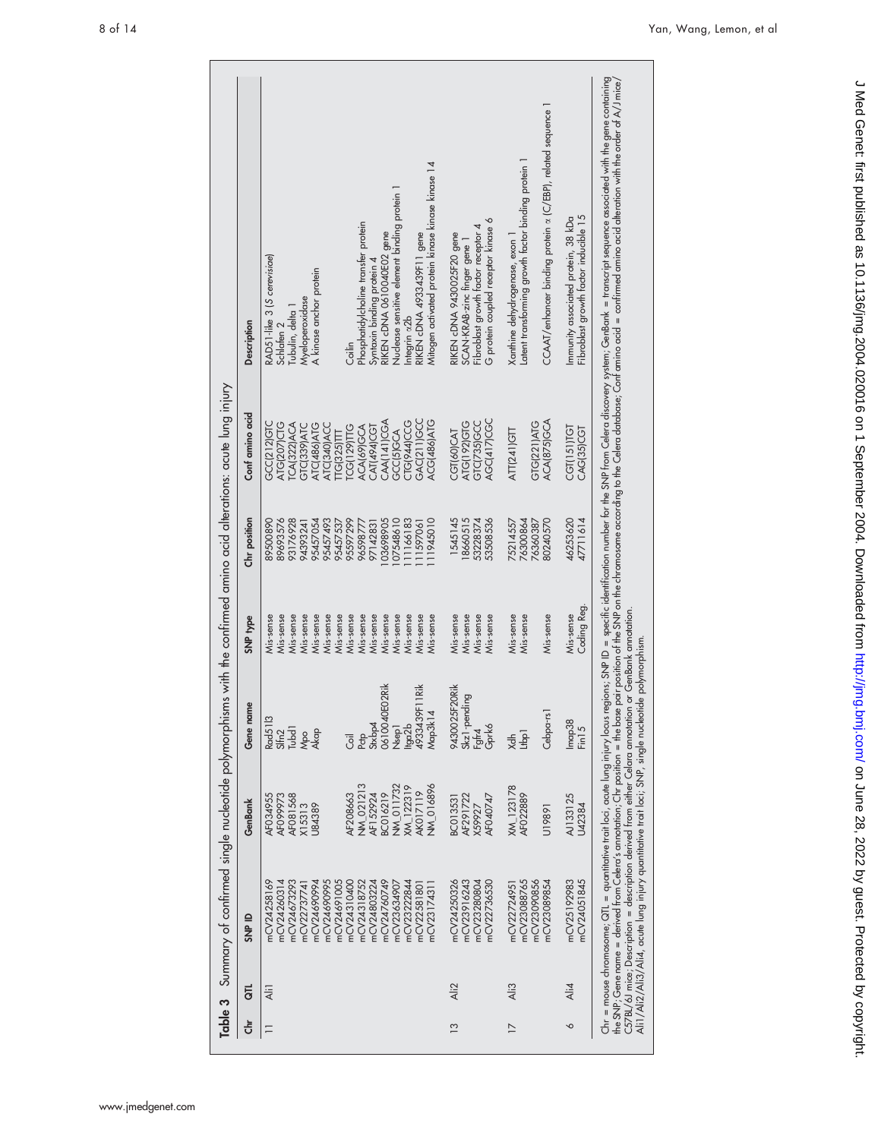| Table 3         |                    | Summary of confirmed single nucleotide polymorphisms                                                                                                                                                                         |                                                                                                                                                                                                  |                                                                                                                                                                                          |                                                                                                                                                                                                        |                                                                                                                                                                                  | with the confirmed amino acid alterations: acute lung injury                                                                                                                                                                                                              |                                                                                                                                                                                                                                                                                                                                                                                                                                                                  |
|-----------------|--------------------|------------------------------------------------------------------------------------------------------------------------------------------------------------------------------------------------------------------------------|--------------------------------------------------------------------------------------------------------------------------------------------------------------------------------------------------|------------------------------------------------------------------------------------------------------------------------------------------------------------------------------------------|--------------------------------------------------------------------------------------------------------------------------------------------------------------------------------------------------------|----------------------------------------------------------------------------------------------------------------------------------------------------------------------------------|---------------------------------------------------------------------------------------------------------------------------------------------------------------------------------------------------------------------------------------------------------------------------|------------------------------------------------------------------------------------------------------------------------------------------------------------------------------------------------------------------------------------------------------------------------------------------------------------------------------------------------------------------------------------------------------------------------------------------------------------------|
| き               | 등                  | SNP ID                                                                                                                                                                                                                       | GenBank                                                                                                                                                                                          | Gene name                                                                                                                                                                                | SNP type                                                                                                                                                                                               | Chr position                                                                                                                                                                     | Conf amino acid                                                                                                                                                                                                                                                           | Description                                                                                                                                                                                                                                                                                                                                                                                                                                                      |
|                 | Ali1               | mCV24760749<br>mCV24690994<br>mCV24690995<br>mCV24691005<br>mCV24310400<br>mCV24318752<br>mCV24803224<br>mCV23222844<br>mCV24260314<br>nCV24673293<br>mCV23634907<br>mCV24258169<br>mCV22581801<br>nCV23174311<br>mCV2273774 | NW_021213<br><b>W_011732</b><br><b>W_016896</b><br>KM_122319<br><b>AK017119</b><br>BC016219<br><b>AF152924</b><br>AF081568<br><b>AF208663</b><br>AF099973<br>AF034955<br>X15313<br><b>J84389</b> | 9rik<br>Rik<br>0610040E02<br>4933439F11<br>Map3k14<br>Rad5113<br>Pctp<br>Stxbp4<br>Hga2b<br>Nsep <sub>1</sub><br>Tubd <sub>1</sub><br>31 <sub>fm2</sub><br>Mpo<br>Akap<br>$\overline{5}$ | Mis-sense<br>Mis-sense<br>Viis-sense<br>Viis-sense<br>Vis-sense<br>Viis-sense<br>Vis-sense<br>Viis-sense<br>Viis-sense<br>Mis-sense<br>Mis-sense<br>Vis-sense<br>Viis-sense<br>Viis-sense<br>Vis-sense | 89693576<br>95457493<br>95457537<br>95597299<br>03698905<br>07548610<br>11945010<br>93176928<br>95457054<br>11166183<br>89500890<br>94393241<br>96598777<br>97142831<br>11597061 | <b>GAC(211)GCC</b><br>CAA(141)CGA<br><b>JIG(944)CCG</b><br>ACG(486)ATG<br>GCC(212)GTC<br><b>ATG(207)CTG</b><br><b>ICA(322)ACA</b><br><b>ATC(486)ATG</b><br>ATC(340)ACC<br>GTC(339)ATC<br><b>CAT(494)CGT</b><br><b>ICG(129)TIG</b><br>ACA(69)GCA<br>GCC(5)GCA<br>TG(325)TT | Mitogen activated protein kinase kinase kinase 14<br>Nuclease sensitive element binding protein 1<br>Phosphatidylcholine transfer protein<br>RIKEN cDNA 0610040E02 gene<br>RIKEN cDNA 4933439F11 gene<br>RAD51-like 3 (S cerevisiae)<br>Syntaxin binding protein 4<br>A kinase anchor protein<br>Myeloperoxidase<br>Tubulin, delta 1<br>ntegrin x2b<br>Schlafen <sub>2</sub><br>Coilin                                                                           |
| $\overline{13}$ | Ali2               | mCV24250326<br>mCV23916243<br>mCV23280804<br>mCV22736530                                                                                                                                                                     | AF291722<br>AF040747<br>BC013531<br>(59927                                                                                                                                                       | 9430025F20Rik<br>Skz1-pending<br>Fgfr4<br>Gprk6                                                                                                                                          | Viis-sense<br>Mis-sense<br>Mis-sense<br>Mis-sense                                                                                                                                                      | 8660515<br>1545145<br>53228374<br>53508536                                                                                                                                       | <b>AGC(417)CGC</b><br><b>ATG(192)GTG</b><br>GTC(735)GCC<br>CGT(60)CAT                                                                                                                                                                                                     | G protein coupled receptor kinase 6<br>Fibroblast growth factor receptor 4<br>RIKEN cDNA 9430025F20 gene<br>SCAN-KRAB-zinc finger gene 1                                                                                                                                                                                                                                                                                                                         |
| $\overline{1}$  | $\overline{A}$ ii3 | mCV23088765<br>mCV23090856<br>mCV23089854<br>mCV22724951                                                                                                                                                                     | XM_123178<br>AF022889<br>U19891                                                                                                                                                                  | Cebpa-rs1<br>Ltbp <sub>1</sub><br>$x^2 + y^2 = 0$                                                                                                                                        | Mis-sense<br>Mis-sense<br>Mis-sense                                                                                                                                                                    | 6300864<br>76360387<br>30240570<br>75214557                                                                                                                                      | ACA(875)GCA<br><b>GTG(221)ATG</b><br><b>ATT(241)GTT</b>                                                                                                                                                                                                                   | CCAAT/enhancer binding protein x (C/EBP), related sequence 1<br>Latent transforming growth factor binding protein 1<br>Xanthine dehydrogenase, exon 1                                                                                                                                                                                                                                                                                                            |
| ╰               | Ali4               | mCV25192983<br>mCV24051845                                                                                                                                                                                                   | AJ133125<br>U42384                                                                                                                                                                               | Imap38<br>Fin15                                                                                                                                                                          | Coding Reg.<br>Mis-sense                                                                                                                                                                               | 47711614<br>46253620                                                                                                                                                             | CGT(151)TGT<br>CAG(35)CGT                                                                                                                                                                                                                                                 | Fibroblast growth factor inducible 15<br>Immunity associated protein, 38 kDa                                                                                                                                                                                                                                                                                                                                                                                     |
|                 |                    | C57BL/6J mice; Description = description derived from either Celara annotation or GenBank annotation<br>Ali1/Ali2/Ali3/Ali4, acute lung injury quantitative trait loci; SNP, single nucleotide                               |                                                                                                                                                                                                  |                                                                                                                                                                                          | polymorphism                                                                                                                                                                                           |                                                                                                                                                                                  |                                                                                                                                                                                                                                                                           | Chr = mouse chromosome; QTL = quantitative trait loci, acute lung injury locus regions; SNP ID = specific identification number for the SNP from Celera discovery system; GenBank = transcript sequence associated with the ge<br>the SNP; Gene name = derived from Celera's annotation; Chr position = the base pair position of the SNP on the chromosome according to the Celera database; Conf amino acid = confirmed amino acid alteration with the order o |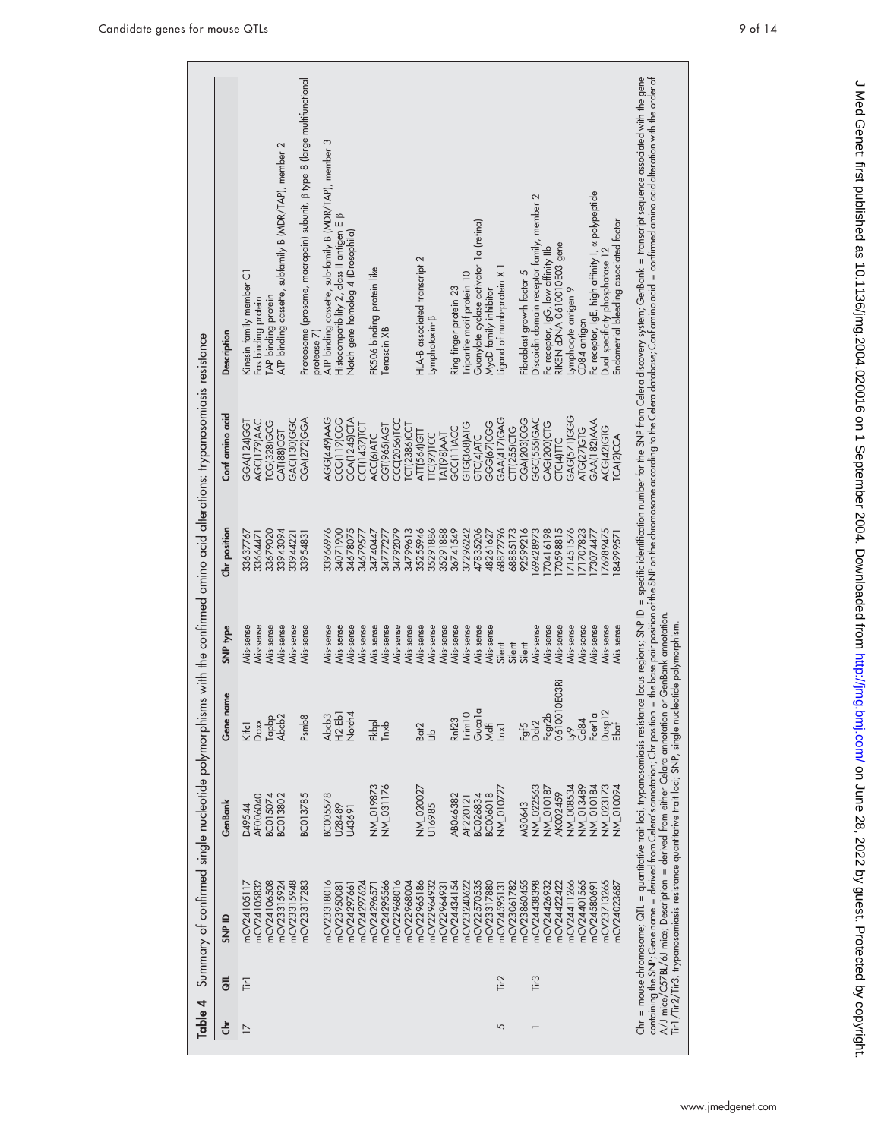| <b>Tir</b> <sub>1</sub><br>$\overline{17}$ | mCV23315924<br>mCV23315948<br>mCV23317283<br>mCV23318016<br>mCV24106508<br>mCV24297624<br>mCV24295566<br>mCV22968016<br>mCV22968004<br>mCV22965186<br>mCV24105832<br>mCV22964932<br>mCV2429766<br>nCV24105117<br>mCV2395008<br>nCV2429657 | NM_019873<br>NM 031176<br>NM 020027<br>BC013802<br>BC013785<br><b>BC005578</b><br>BC015074<br>AFO06040<br>D49544<br>U28489<br>U43691 | $H2-Eb1$<br>Notch4<br>Tapbp<br>Abdo2<br>Psmb8<br>Abcb <sub>3</sub><br>Daxx<br>Fkbpl<br>$ln$<br>Kifcl | Mis-sense<br>Mis-sense<br>Mis-sense<br>Mis-sense<br>Mis-sense<br>Mis-sense<br>Mis-sense<br>Mis-sense<br>Mis-sense<br>Mis-sense<br>Mis-sense | 33943094<br>33679020<br>33954831<br>33637767<br>33664471<br>33944221 | TCG(328)GCG<br>AGC(179)AAC<br><b>GGA(124)GGT</b><br><b>CAT(88)CGT</b> | Kinesin family member C1<br>Fas binding protein                                                                                                                                                                                                                                                                                                                                                                                                                 |
|--------------------------------------------|-------------------------------------------------------------------------------------------------------------------------------------------------------------------------------------------------------------------------------------------|--------------------------------------------------------------------------------------------------------------------------------------|------------------------------------------------------------------------------------------------------|---------------------------------------------------------------------------------------------------------------------------------------------|----------------------------------------------------------------------|-----------------------------------------------------------------------|-----------------------------------------------------------------------------------------------------------------------------------------------------------------------------------------------------------------------------------------------------------------------------------------------------------------------------------------------------------------------------------------------------------------------------------------------------------------|
|                                            |                                                                                                                                                                                                                                           |                                                                                                                                      |                                                                                                      |                                                                                                                                             |                                                                      |                                                                       |                                                                                                                                                                                                                                                                                                                                                                                                                                                                 |
|                                            |                                                                                                                                                                                                                                           |                                                                                                                                      |                                                                                                      |                                                                                                                                             |                                                                      |                                                                       |                                                                                                                                                                                                                                                                                                                                                                                                                                                                 |
|                                            |                                                                                                                                                                                                                                           |                                                                                                                                      |                                                                                                      |                                                                                                                                             |                                                                      |                                                                       | TAP binding protein                                                                                                                                                                                                                                                                                                                                                                                                                                             |
|                                            |                                                                                                                                                                                                                                           |                                                                                                                                      |                                                                                                      |                                                                                                                                             |                                                                      |                                                                       | ATP binding cassette, subfamily B (MDR/TAP), member 2                                                                                                                                                                                                                                                                                                                                                                                                           |
|                                            |                                                                                                                                                                                                                                           |                                                                                                                                      |                                                                                                      |                                                                                                                                             |                                                                      | <b>GAC(130)GGC</b>                                                    |                                                                                                                                                                                                                                                                                                                                                                                                                                                                 |
|                                            |                                                                                                                                                                                                                                           |                                                                                                                                      |                                                                                                      |                                                                                                                                             |                                                                      | <b>CGA(272)GGA</b>                                                    | Proteosome (prosome, macropain) subunit, ß type 8 (large multifunctional                                                                                                                                                                                                                                                                                                                                                                                        |
|                                            |                                                                                                                                                                                                                                           |                                                                                                                                      |                                                                                                      |                                                                                                                                             |                                                                      |                                                                       | protease 7)                                                                                                                                                                                                                                                                                                                                                                                                                                                     |
|                                            |                                                                                                                                                                                                                                           |                                                                                                                                      |                                                                                                      |                                                                                                                                             | 33966976                                                             | AGG(449)AAG                                                           | ATP binding cassette, sub-family B (MDR/TAP), member 3                                                                                                                                                                                                                                                                                                                                                                                                          |
|                                            |                                                                                                                                                                                                                                           |                                                                                                                                      |                                                                                                      |                                                                                                                                             | 34071900                                                             | <b>CCG(119)CGG</b>                                                    | Histocompatibility 2, class II antigen E B                                                                                                                                                                                                                                                                                                                                                                                                                      |
|                                            |                                                                                                                                                                                                                                           |                                                                                                                                      |                                                                                                      |                                                                                                                                             | 34678075                                                             | <b>CCA(1245)CTA</b>                                                   | Notch gene homolog 4 (Drosophila)                                                                                                                                                                                                                                                                                                                                                                                                                               |
|                                            |                                                                                                                                                                                                                                           |                                                                                                                                      |                                                                                                      |                                                                                                                                             | 34679577                                                             | CCT(1437)TCT                                                          |                                                                                                                                                                                                                                                                                                                                                                                                                                                                 |
|                                            |                                                                                                                                                                                                                                           |                                                                                                                                      |                                                                                                      |                                                                                                                                             | 34740447                                                             | <b>ACCI6JATC</b>                                                      | FK506 binding protein-like                                                                                                                                                                                                                                                                                                                                                                                                                                      |
|                                            |                                                                                                                                                                                                                                           |                                                                                                                                      |                                                                                                      | Mis-sense                                                                                                                                   | 34777277                                                             | CGT(965)AGT                                                           | Tenascin XB                                                                                                                                                                                                                                                                                                                                                                                                                                                     |
|                                            |                                                                                                                                                                                                                                           |                                                                                                                                      |                                                                                                      | Mis-sense                                                                                                                                   | 34792079                                                             | CCC(2056)TCC                                                          |                                                                                                                                                                                                                                                                                                                                                                                                                                                                 |
|                                            |                                                                                                                                                                                                                                           |                                                                                                                                      |                                                                                                      | Mis-sense                                                                                                                                   | 34799613                                                             | $CT(2386)$ CCT                                                        |                                                                                                                                                                                                                                                                                                                                                                                                                                                                 |
|                                            |                                                                                                                                                                                                                                           |                                                                                                                                      | Bat <sup>2</sup>                                                                                     | Mis-sense                                                                                                                                   | 35255946                                                             | <b>ATT(564)GTT</b>                                                    | HLA-B associated transcript 2                                                                                                                                                                                                                                                                                                                                                                                                                                   |
|                                            |                                                                                                                                                                                                                                           | U16985                                                                                                                               | $\overline{f}$                                                                                       | Mis-sense                                                                                                                                   | 35291886                                                             | <b>ITC(97)TCC</b>                                                     | Lymphotoxin-B                                                                                                                                                                                                                                                                                                                                                                                                                                                   |
|                                            | mCV22964931                                                                                                                                                                                                                               |                                                                                                                                      |                                                                                                      | Mis-sense                                                                                                                                   | 35291888                                                             | <b>TATI98JAAT</b>                                                     |                                                                                                                                                                                                                                                                                                                                                                                                                                                                 |
|                                            | nCV24434154                                                                                                                                                                                                                               | ABO46382                                                                                                                             | <b>Rnf23</b>                                                                                         | Mis-sense                                                                                                                                   | 36741549                                                             | GCC(11)ACC                                                            | Ring finger protein 23                                                                                                                                                                                                                                                                                                                                                                                                                                          |
|                                            | nCV23240622                                                                                                                                                                                                                               | AF220121                                                                                                                             | Trim10                                                                                               | Mis-sense                                                                                                                                   | 37296242                                                             | GTG(368)ATG                                                           | Tripartite motif protein 10                                                                                                                                                                                                                                                                                                                                                                                                                                     |
|                                            | mCV22570535                                                                                                                                                                                                                               | BC026834                                                                                                                             | Gucala                                                                                               | Mis-sense                                                                                                                                   | 47835206                                                             | GTC(4)ATC                                                             | Guanylate cyclase activator 1a (retina)                                                                                                                                                                                                                                                                                                                                                                                                                         |
|                                            | mCV23317880                                                                                                                                                                                                                               | <b>BC006018</b>                                                                                                                      | <b>Mdfi</b>                                                                                          | Mis-sense                                                                                                                                   | 48261627                                                             | <b>GG67/CGG</b>                                                       | MyoD family inhibitor                                                                                                                                                                                                                                                                                                                                                                                                                                           |
| Tir <sub>2</sub><br>5                      | nCV24595131                                                                                                                                                                                                                               | <b>NM_010727</b>                                                                                                                     | $\overline{a}$                                                                                       | Silent                                                                                                                                      | 68872796                                                             | <b>GAA(417)GAG</b>                                                    | Ligand of numb-protein X                                                                                                                                                                                                                                                                                                                                                                                                                                        |
|                                            | nCV23061782                                                                                                                                                                                                                               |                                                                                                                                      |                                                                                                      | Silent                                                                                                                                      | 68885173                                                             | <b>CTT(255)CTG</b>                                                    |                                                                                                                                                                                                                                                                                                                                                                                                                                                                 |
|                                            | mCV23860455                                                                                                                                                                                                                               | M30643                                                                                                                               |                                                                                                      | Silent                                                                                                                                      | 92599216                                                             | <b>CGA(203)CGG</b>                                                    | Fibroblast growth factor 5                                                                                                                                                                                                                                                                                                                                                                                                                                      |
| Tir <sub>3</sub>                           | nCV24438398                                                                                                                                                                                                                               | NM_022563                                                                                                                            | Faf5<br>Ddr2                                                                                         | Mis-sense                                                                                                                                   | 69428973                                                             | <b>GGC(555)GAC</b>                                                    | Discoidin domain receptor family, member 2                                                                                                                                                                                                                                                                                                                                                                                                                      |
|                                            | nCV24426932                                                                                                                                                                                                                               | NM 010187                                                                                                                            |                                                                                                      | Mis-sense                                                                                                                                   | 70416198                                                             | CAG(200)CTG                                                           | Fc receptor, IgG, low affinity IIb                                                                                                                                                                                                                                                                                                                                                                                                                              |
|                                            | mCV24422422                                                                                                                                                                                                                               | AK002459                                                                                                                             | Fcgr2b<br>0610010E03Ri                                                                               | Mis-sense                                                                                                                                   | 70598815                                                             | CTC(4)TTC                                                             | RIKEN cDNA 0610010E03 gene                                                                                                                                                                                                                                                                                                                                                                                                                                      |
|                                            | mCV24411266                                                                                                                                                                                                                               | NM_008534                                                                                                                            | β<                                                                                                   | Mis-sense                                                                                                                                   | 71451576                                                             | <b>GAG(571)GGG</b>                                                    | lymphocyte antigen 9                                                                                                                                                                                                                                                                                                                                                                                                                                            |
|                                            | mCV24401565                                                                                                                                                                                                                               | NM_013489                                                                                                                            | $G$ 84                                                                                               | Mis-sense                                                                                                                                   | 71707823                                                             | ATG(27)GTG                                                            | CD84 antigen                                                                                                                                                                                                                                                                                                                                                                                                                                                    |
|                                            | mCV24580691                                                                                                                                                                                                                               | NM_010184                                                                                                                            | Fcer <sub>la</sub>                                                                                   | Mis-sense                                                                                                                                   | 73074477                                                             | <b>GAA(182)AAA</b>                                                    | Fc receptor, IgE, high affinity I, a polypeptide<br>Dual specificity phosphatase 12                                                                                                                                                                                                                                                                                                                                                                             |
|                                            | mCV23713265                                                                                                                                                                                                                               | NM_023173                                                                                                                            | Dusp12<br>Ebaf                                                                                       | Mis-sense                                                                                                                                   | 76989475                                                             | ACG(42)GTG                                                            |                                                                                                                                                                                                                                                                                                                                                                                                                                                                 |
|                                            | mCV24023687                                                                                                                                                                                                                               | <b>NM_010094</b>                                                                                                                     |                                                                                                      | Vis-sense                                                                                                                                   | 84999571                                                             | <b>TCA(2)CCA</b>                                                      | Endometrial bleeding associated factor                                                                                                                                                                                                                                                                                                                                                                                                                          |
|                                            |                                                                                                                                                                                                                                           |                                                                                                                                      |                                                                                                      |                                                                                                                                             |                                                                      |                                                                       | Chr = mouse chromosome; QTL = quantitative trait loci, trypanosomiasis resistance locus regions; SNP ID = specific identification number for the SNP from Celera discovery system; GenBank = transcript sequence associated wi<br>containing the SNP; Gene name = derived from Celera's annotation, Chr position = the base pair position of the SNP on the chromosome according to the Gelera database; Conf amino acid = confirmed amino acid alleration with |
|                                            | A/J mice/C57BL/6J mice; Description = derived from either Celara annotation or GenBank annotation.<br>Tir1/Tir2/Tir3, trypanosomiasis resistance quantitative trait loci; SNP, single nucleotide polymorphism.                            |                                                                                                                                      |                                                                                                      |                                                                                                                                             |                                                                      |                                                                       |                                                                                                                                                                                                                                                                                                                                                                                                                                                                 |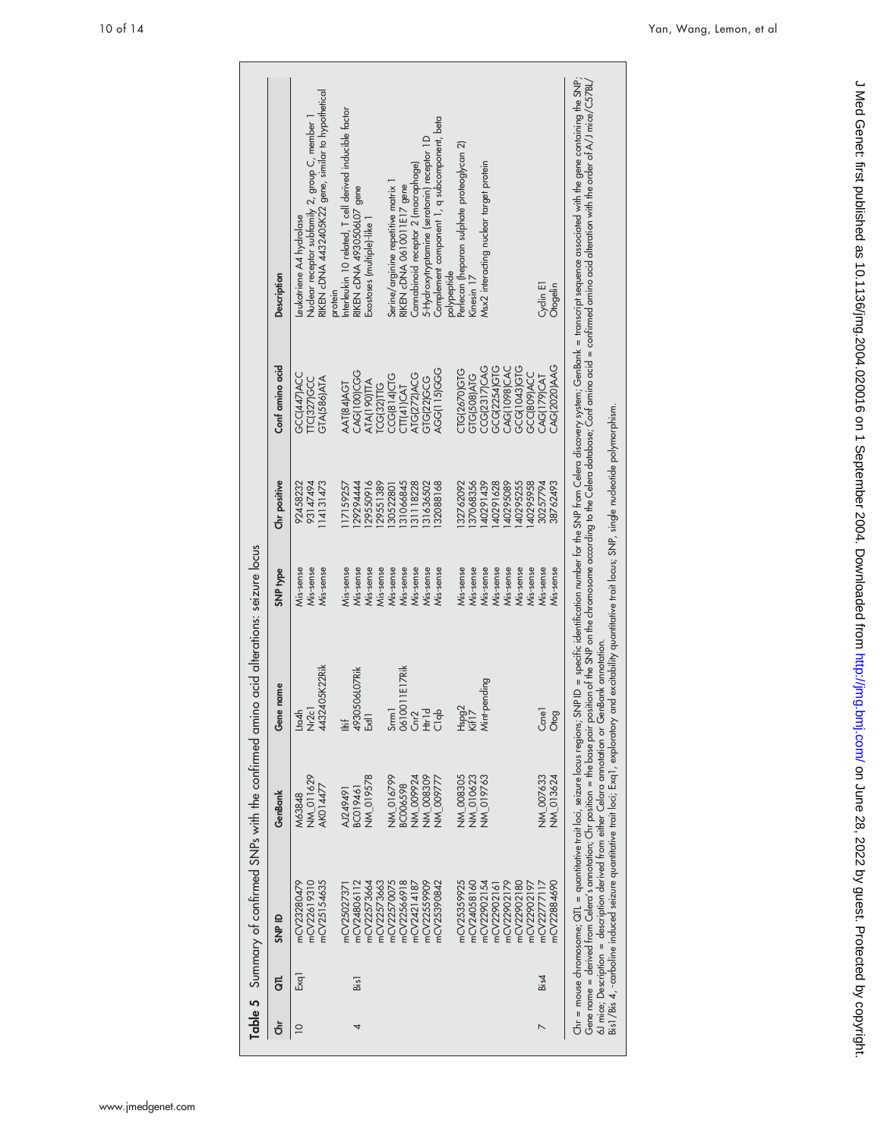| mCV22619310<br>mCV25154635<br>mCV23280479<br>mCV22573664<br>mCV22573663<br>mCV22566918<br>mCV22559909<br>mCV25390842<br>mCV24806112<br>mCV22570075<br>mCV24214187<br>mCV2502737<br>Exq1<br>Bis1<br>$\supseteq$<br>4 | NM_019578<br>NM 016799<br>NW 011629<br>NW_008309<br>NM_009924<br>NM_009777<br>BC006598<br>AK014477<br>BC019461<br>AJ249491<br>M63848 | Nr2c1<br>4432405K22Rik<br>0610011E17Rik<br>Cnr2<br>Htr1d<br>C1qb<br>4930506L07Rik<br>Srrm <sub>1</sub><br>Lta4h<br>ŧ<br>E | Mis-sense<br>Mis-sense<br>Mis-sense<br>Mis-sense<br>Mis-sense<br>Mis-sense<br>Mis-sense<br>Mis-sense<br>Mis-sense | 93147494<br>92458232<br>114131473 |                         |                                                         |
|---------------------------------------------------------------------------------------------------------------------------------------------------------------------------------------------------------------------|--------------------------------------------------------------------------------------------------------------------------------------|---------------------------------------------------------------------------------------------------------------------------|-------------------------------------------------------------------------------------------------------------------|-----------------------------------|-------------------------|---------------------------------------------------------|
|                                                                                                                                                                                                                     |                                                                                                                                      |                                                                                                                           |                                                                                                                   |                                   | GCC(447)ACC             | eukotriene A4 hydrolase                                 |
|                                                                                                                                                                                                                     |                                                                                                                                      |                                                                                                                           |                                                                                                                   |                                   | TC(327)GCC              | Nuclear receptor subfamily 2, group C, member           |
|                                                                                                                                                                                                                     |                                                                                                                                      |                                                                                                                           |                                                                                                                   |                                   | GTA(586)ATA             | RIKEN cDNA 4432405K22 gene, similar to hypothetical     |
|                                                                                                                                                                                                                     |                                                                                                                                      |                                                                                                                           |                                                                                                                   |                                   |                         | protein                                                 |
|                                                                                                                                                                                                                     |                                                                                                                                      |                                                                                                                           |                                                                                                                   | 17159257                          | AAT(84)AGT              | Interleukin 10 related, T cell derived inducible factor |
|                                                                                                                                                                                                                     |                                                                                                                                      |                                                                                                                           |                                                                                                                   | 29294444                          | <b>CAG(100)CGG</b>      | RIKEN cDNA 4930506L07 gene                              |
|                                                                                                                                                                                                                     |                                                                                                                                      |                                                                                                                           |                                                                                                                   | 29550916                          | ATA(190) <sub>ITA</sub> | Exostoses (multiple)-like 1                             |
|                                                                                                                                                                                                                     |                                                                                                                                      |                                                                                                                           |                                                                                                                   | 29551389                          | <b>ICG(32)TIG</b>       |                                                         |
|                                                                                                                                                                                                                     |                                                                                                                                      |                                                                                                                           |                                                                                                                   | 30522801                          | <b>CCG(814)CTG</b>      | Serine/arginine repetitive matrix 1                     |
|                                                                                                                                                                                                                     |                                                                                                                                      |                                                                                                                           |                                                                                                                   | 31066845                          | CTT(41)CAT              | RIKEN cDNA 0610011E17 gene                              |
|                                                                                                                                                                                                                     |                                                                                                                                      |                                                                                                                           | Mis-sense                                                                                                         | 31118228                          | ATG(272)ACG             | Cannabinoid receptor 2 (macrophage)                     |
|                                                                                                                                                                                                                     |                                                                                                                                      |                                                                                                                           | Mis-sense                                                                                                         | 31636502                          | GTG(22)GCG              | 5-Hydroxytryptamine (serotonin) receptor 1D             |
|                                                                                                                                                                                                                     |                                                                                                                                      |                                                                                                                           | Mis-sense                                                                                                         | 32088168                          | AGG(115)GGG             | Complement component 1, q subcomponent, beta            |
|                                                                                                                                                                                                                     |                                                                                                                                      |                                                                                                                           |                                                                                                                   |                                   |                         | polypeptide                                             |
| mCV25359925                                                                                                                                                                                                         | NW_008305                                                                                                                            |                                                                                                                           | Mis-sense                                                                                                         | 32762092                          | CTG(2670)GTG            | Perlecan (heparan sulphate proteoglycan 2)              |
| mCV24058160                                                                                                                                                                                                         | NW 010623                                                                                                                            | Hspg2<br>Kif17                                                                                                            | Mis-sense                                                                                                         | 37068356                          | GTG(508)ATG             | Kinesin 17                                              |
| mCV22902154                                                                                                                                                                                                         | NW_019763                                                                                                                            | Mint-pending                                                                                                              | Mis-sense                                                                                                         | 40291439                          | CCG(2317)CAG            | Msx2 interacting nuclear target protein                 |
| mCV22902161                                                                                                                                                                                                         |                                                                                                                                      |                                                                                                                           | Mis-sense                                                                                                         | 40291628                          | GCG(2254)GTG            |                                                         |
| mCV22902179                                                                                                                                                                                                         |                                                                                                                                      |                                                                                                                           | Mis-sense                                                                                                         | 40295089                          | CAG(1098)CAC            |                                                         |
| mCV22902180                                                                                                                                                                                                         |                                                                                                                                      |                                                                                                                           | Mis-sense                                                                                                         | 40295255                          | GCG(1043)GTG            |                                                         |
| mCV22902197                                                                                                                                                                                                         |                                                                                                                                      |                                                                                                                           | Mis-sense                                                                                                         | 40295958                          | GCC(809)ACC             |                                                         |
| nCV22777117<br>Bis4                                                                                                                                                                                                 | NW 007633                                                                                                                            | Ccnel                                                                                                                     | Mis-sense                                                                                                         | 30257794                          | CAG(179)CAT             | Cyclin E1                                               |
| nCV22884690                                                                                                                                                                                                         | NM_013624                                                                                                                            | Otog                                                                                                                      | Mis-sense                                                                                                         | 38762493                          | CAG(2020)AAG            | Otogelin                                                |

6J mice; Description = description derived from either Celara annotation or GenBank annotation.<br>Bis1/Bis 4, -carboline induced seizure quantitative trait loci; Exq1, exploratory and excitability quantitative trait locus; S 6J mice; Description = description derived from either Celara annotation or GenBank annotation.

Bis1/Bis 4, -carboline induced seizure quantitative trait loci; Exq1, exploratory and excitability quantitative trait locus; SNP, single nucleotide polymorphism.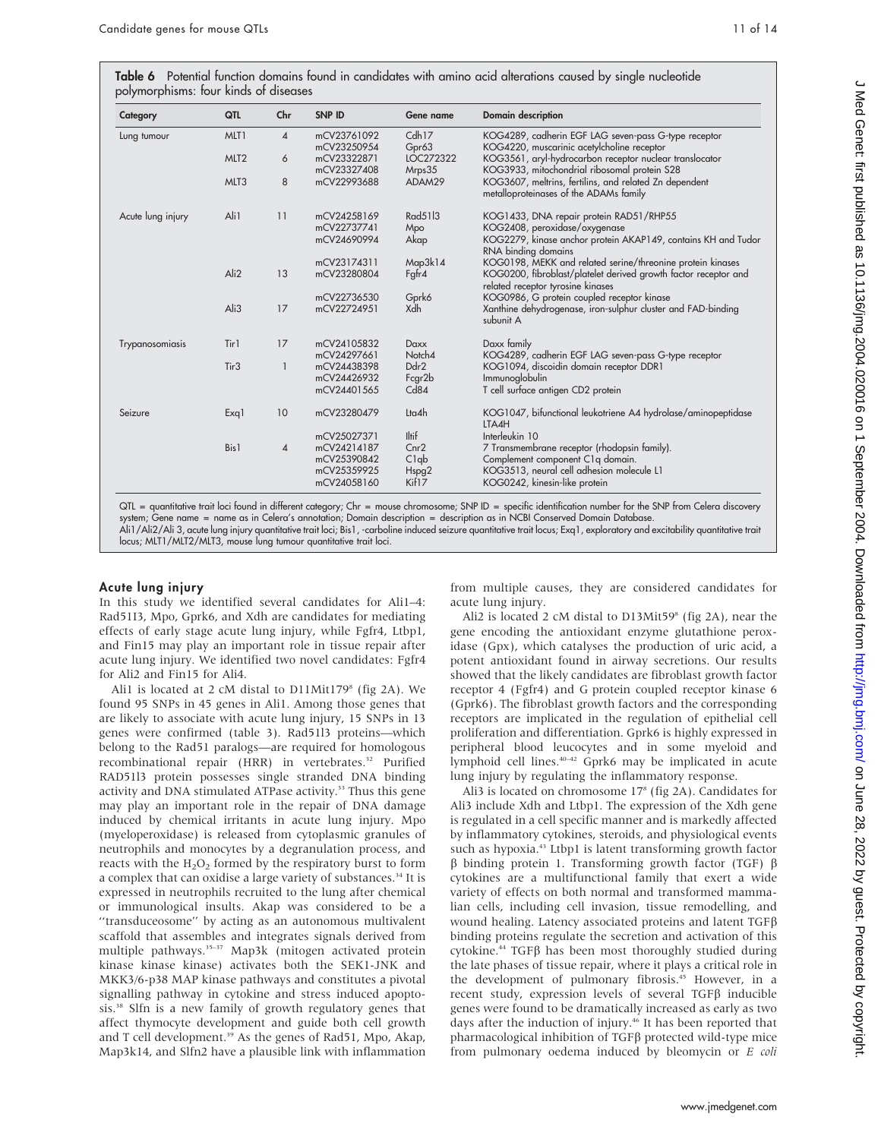Table 6 Potential function domains found in candidates with amino acid alterations caused by single nucleotide polymorphisms: four kinds of diseases

| Category          | QTL              | Chr            | <b>SNP ID</b> | Gene name    | <b>Domain description</b>                                                            |
|-------------------|------------------|----------------|---------------|--------------|--------------------------------------------------------------------------------------|
| Lung tumour       | MLT <sub>1</sub> | $\overline{4}$ | mCV23761092   | Cdh17        | KOG4289, cadherin EGF LAG seven-pass G-type receptor                                 |
|                   |                  |                | mCV23250954   | Gpr63        | KOG4220, muscarinic acetylcholine receptor                                           |
|                   | MLT <sub>2</sub> | 6              | mCV23322871   | LOC272322    | KOG3561, aryl-hydrocarbon receptor nuclear translocator                              |
|                   |                  |                | mCV23327408   | Mrps35       | KOG3933, mitochondrial ribosomal protein S28                                         |
|                   | MLT3             | 8              | mCV22993688   | ADAM29       | KOG3607, meltrins, fertilins, and related Zn dependent                               |
|                   |                  |                |               |              | metalloproteinases of the ADAMs family                                               |
| Acute lung injury | Ali1             | 11             | mCV24258169   | Rad5113      | KOG1433, DNA repair protein RAD51/RHP55                                              |
|                   |                  |                | mCV22737741   | Mpo          | KOG2408, peroxidase/oxygenase                                                        |
|                   |                  |                | mCV24690994   | Akap         | KOG2279, kinase anchor protein AKAP149, contains KH and Tudor<br>RNA binding domains |
|                   |                  |                | mCV23174311   | Map3k14      | KOG0198, MEKK and related serine/threonine protein kinases                           |
|                   | Ali <sub>2</sub> | 13             | mCV23280804   | Fgfr4        | KOG0200, fibroblast/platelet derived growth factor receptor and                      |
|                   |                  |                |               |              | related receptor tyrosine kinases                                                    |
|                   |                  |                | mCV22736530   | Gprk6        | KOG0986, G protein coupled receptor kinase                                           |
|                   | Ali3             | 17             | mCV22724951   | Xdh          | Xanthine dehydrogenase, iron-sulphur cluster and FAD-binding                         |
|                   |                  |                |               |              | subunit A                                                                            |
| Trypanosomiasis   | Tir1             | 17             | mCV24105832   | <b>Daxx</b>  | Daxx family                                                                          |
|                   |                  |                | mCV24297661   | Notch4       | KOG4289, cadherin EGF LAG seven-pass G-type receptor                                 |
|                   | Tir <sub>3</sub> | $\mathbf{1}$   | mCV24438398   | Ddr2         | KOG1094, discoidin domain receptor DDR1                                              |
|                   |                  |                | mCV24426932   | Fcgr2b       | Immunoglobulin                                                                       |
|                   |                  |                | mCV24401565   | Cd84         | T cell surface antigen CD2 protein                                                   |
| Seizure           | Exq1             | 10             | mCV23280479   | Lta4h        | KOG1047, bifunctional leukotriene A4 hydrolase/aminopeptidase                        |
|                   |                  |                |               |              | LTA4H                                                                                |
|                   |                  |                | mCV25027371   | <b>Iltif</b> | Interleukin 10                                                                       |
|                   | Bis1             | $\overline{4}$ | mCV24214187   | Cnr2         | 7 Transmembrane receptor (rhodopsin family).                                         |
|                   |                  |                | mCV25390842   | C1qb         | Complement component C1q domain.                                                     |
|                   |                  |                | mCV25359925   | Hspg2        | KOG3513, neural cell adhesion molecule L1                                            |
|                   |                  |                | mCV24058160   | Kif17        | KOG0242, kinesin-like protein                                                        |

QTL = quantitative trait loci found in different category; Chr = mouse chromosome; SNP ID = specific identification number for the SNP from Celera discovery system; Gene name = name as in Celera's annotation; Domain description = description as in NCBI Conserved Domain Database. Ali1/Ali2/Ali 3, acute lung injury quantitative trait loci; Bis1, -carboline induced seizure quantitative trait locus; Exq1, exploratory and excitability quantitative trait locus; MLT1/MLT2/MLT3, mouse lung tumour quantitative trait loci.

#### Acute lung injury

In this study we identified several candidates for Ali1–4: Rad51I3, Mpo, Gprk6, and Xdh are candidates for mediating effects of early stage acute lung injury, while Fgfr4, Ltbp1, and Fin15 may play an important role in tissue repair after acute lung injury. We identified two novel candidates: Fgfr4 for Ali2 and Fin15 for Ali4.

Ali1 is located at 2 cM distal to D11Mit179<sup>8</sup> (fig 2A). We found 95 SNPs in 45 genes in Ali1. Among those genes that are likely to associate with acute lung injury, 15 SNPs in 13 genes were confirmed (table 3). Rad51l3 proteins—which belong to the Rad51 paralogs—are required for homologous recombinational repair (HRR) in vertebrates.<sup>32</sup> Purified RAD51l3 protein possesses single stranded DNA binding activity and DNA stimulated ATPase activity.<sup>33</sup> Thus this gene may play an important role in the repair of DNA damage induced by chemical irritants in acute lung injury. Mpo (myeloperoxidase) is released from cytoplasmic granules of neutrophils and monocytes by a degranulation process, and reacts with the  $H_2O_2$  formed by the respiratory burst to form a complex that can oxidise a large variety of substances.<sup>34</sup> It is expressed in neutrophils recruited to the lung after chemical or immunological insults. Akap was considered to be a ''transduceosome'' by acting as an autonomous multivalent scaffold that assembles and integrates signals derived from multiple pathways.35–37 Map3k (mitogen activated protein kinase kinase kinase) activates both the SEK1-JNK and MKK3/6-p38 MAP kinase pathways and constitutes a pivotal signalling pathway in cytokine and stress induced apoptosis.38 Slfn is a new family of growth regulatory genes that affect thymocyte development and guide both cell growth and T cell development.<sup>39</sup> As the genes of Rad51, Mpo, Akap, Map3k14, and Slfn2 have a plausible link with inflammation from multiple causes, they are considered candidates for acute lung injury.

Ali2 is located 2 cM distal to D13Mit59 $^8$  (fig 2A), near the gene encoding the antioxidant enzyme glutathione peroxidase (Gpx), which catalyses the production of uric acid, a potent antioxidant found in airway secretions. Our results showed that the likely candidates are fibroblast growth factor receptor 4 (Fgfr4) and G protein coupled receptor kinase 6 (Gprk6). The fibroblast growth factors and the corresponding receptors are implicated in the regulation of epithelial cell proliferation and differentiation. Gprk6 is highly expressed in peripheral blood leucocytes and in some myeloid and lymphoid cell lines.40–42 Gprk6 may be implicated in acute lung injury by regulating the inflammatory response.

Ali3 is located on chromosome 17<sup>8</sup> (fig 2A). Candidates for Ali3 include Xdh and Ltbp1. The expression of the Xdh gene is regulated in a cell specific manner and is markedly affected by inflammatory cytokines, steroids, and physiological events such as hypoxia.<sup>43</sup> Ltbp1 is latent transforming growth factor  $\beta$  binding protein 1. Transforming growth factor (TGF)  $\beta$ cytokines are a multifunctional family that exert a wide variety of effects on both normal and transformed mammalian cells, including cell invasion, tissue remodelling, and wound healing. Latency associated proteins and latent  $TGF\beta$ binding proteins regulate the secretion and activation of this cytokine.<sup>44</sup> TGF $\beta$  has been most thoroughly studied during the late phases of tissue repair, where it plays a critical role in the development of pulmonary fibrosis.<sup>45</sup> However, in a recent study, expression levels of several TGF $\beta$  inducible genes were found to be dramatically increased as early as two days after the induction of injury.<sup>46</sup> It has been reported that pharmacological inhibition of TGFb protected wild-type mice from pulmonary oedema induced by bleomycin or E coli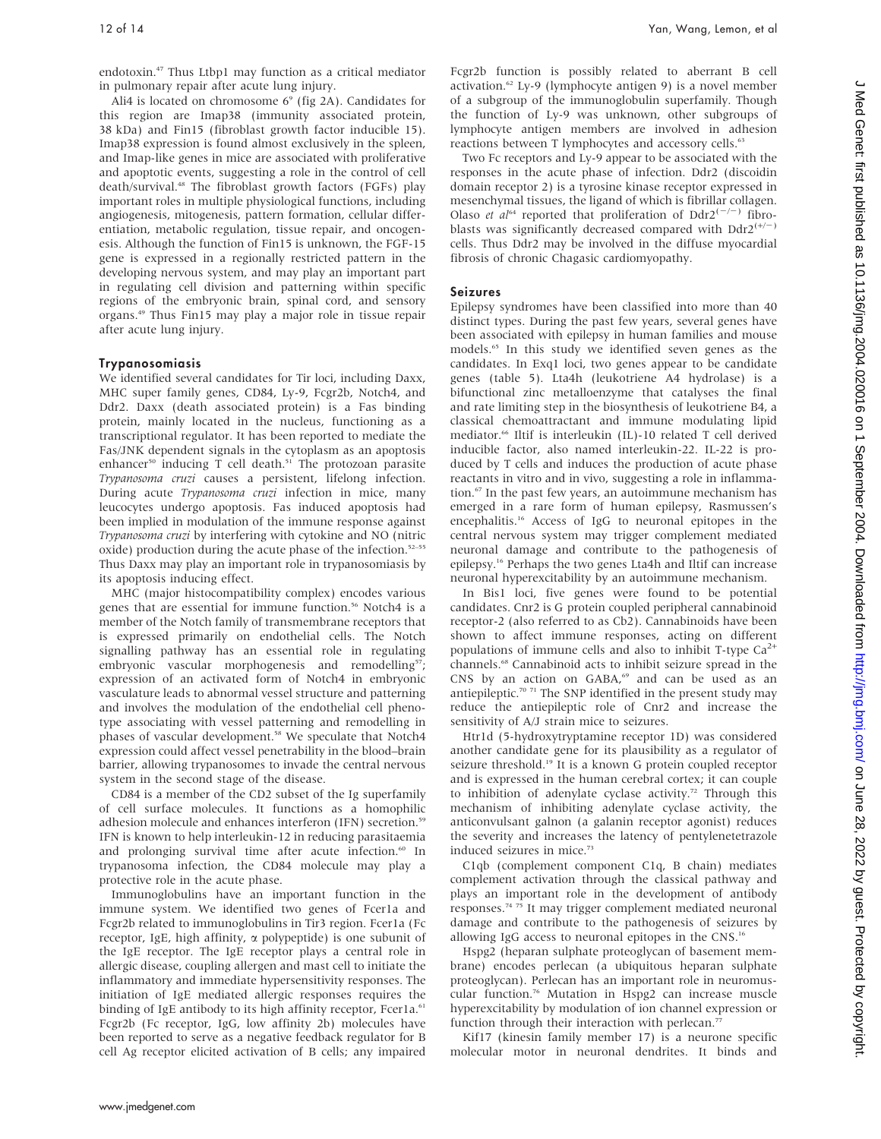endotoxin.47 Thus Ltbp1 may function as a critical mediator in pulmonary repair after acute lung injury.

Ali4 is located on chromosome  $6^{\circ}$  (fig 2A). Candidates for this region are Imap38 (immunity associated protein, 38 kDa) and Fin15 (fibroblast growth factor inducible 15). Imap38 expression is found almost exclusively in the spleen, and Imap-like genes in mice are associated with proliferative and apoptotic events, suggesting a role in the control of cell death/survival.<sup>48</sup> The fibroblast growth factors (FGFs) play important roles in multiple physiological functions, including angiogenesis, mitogenesis, pattern formation, cellular differentiation, metabolic regulation, tissue repair, and oncogenesis. Although the function of Fin15 is unknown, the FGF-15 gene is expressed in a regionally restricted pattern in the developing nervous system, and may play an important part in regulating cell division and patterning within specific regions of the embryonic brain, spinal cord, and sensory organs.49 Thus Fin15 may play a major role in tissue repair after acute lung injury.

#### Trypanosomiasis

We identified several candidates for Tir loci, including Daxx, MHC super family genes, CD84, Ly-9, Fcgr2b, Notch4, and Ddr2. Daxx (death associated protein) is a Fas binding protein, mainly located in the nucleus, functioning as a transcriptional regulator. It has been reported to mediate the Fas/JNK dependent signals in the cytoplasm as an apoptosis enhancer<sup>50</sup> inducing T cell death.<sup>51</sup> The protozoan parasite Trypanosoma cruzi causes a persistent, lifelong infection. During acute Trypanosoma cruzi infection in mice, many leucocytes undergo apoptosis. Fas induced apoptosis had been implied in modulation of the immune response against Trypanosoma cruzi by interfering with cytokine and NO (nitric oxide) production during the acute phase of the infection.<sup>52-55</sup> Thus Daxx may play an important role in trypanosomiasis by its apoptosis inducing effect.

MHC (major histocompatibility complex) encodes various genes that are essential for immune function.<sup>56</sup> Notch4 is a member of the Notch family of transmembrane receptors that is expressed primarily on endothelial cells. The Notch signalling pathway has an essential role in regulating embryonic vascular morphogenesis and remodelling<sup>57</sup>; expression of an activated form of Notch4 in embryonic vasculature leads to abnormal vessel structure and patterning and involves the modulation of the endothelial cell phenotype associating with vessel patterning and remodelling in phases of vascular development.<sup>58</sup> We speculate that Notch4 expression could affect vessel penetrability in the blood–brain barrier, allowing trypanosomes to invade the central nervous system in the second stage of the disease.

CD84 is a member of the CD2 subset of the Ig superfamily of cell surface molecules. It functions as a homophilic adhesion molecule and enhances interferon (IFN) secretion.<sup>59</sup> IFN is known to help interleukin-12 in reducing parasitaemia and prolonging survival time after acute infection.<sup>60</sup> In trypanosoma infection, the CD84 molecule may play a protective role in the acute phase.

Immunoglobulins have an important function in the immune system. We identified two genes of Fcer1a and Fcgr2b related to immunoglobulins in Tir3 region. Fcer1a (Fc receptor, IgE, high affinity,  $\alpha$  polypeptide) is one subunit of the IgE receptor. The IgE receptor plays a central role in allergic disease, coupling allergen and mast cell to initiate the inflammatory and immediate hypersensitivity responses. The initiation of IgE mediated allergic responses requires the binding of IgE antibody to its high affinity receptor, Fcer1a.<sup>61</sup> Fcgr2b (Fc receptor, IgG, low affinity 2b) molecules have been reported to serve as a negative feedback regulator for B cell Ag receptor elicited activation of B cells; any impaired Fcgr2b function is possibly related to aberrant B cell activation.<sup>62</sup> Ly-9 (lymphocyte antigen 9) is a novel member of a subgroup of the immunoglobulin superfamily. Though the function of Ly-9 was unknown, other subgroups of lymphocyte antigen members are involved in adhesion reactions between T lymphocytes and accessory cells.<sup>63</sup>

Two Fc receptors and Ly-9 appear to be associated with the responses in the acute phase of infection. Ddr2 (discoidin domain receptor 2) is a tyrosine kinase receptor expressed in mesenchymal tissues, the ligand of which is fibrillar collagen. Olaso *et al*<sup>64</sup> reported that proliferation of  $Ddr2^{(-/-)}$  fibroblasts was significantly decreased compared with  $Ddr2^{(+)}$ cells. Thus Ddr2 may be involved in the diffuse myocardial fibrosis of chronic Chagasic cardiomyopathy.

#### Seizures

Epilepsy syndromes have been classified into more than 40 distinct types. During the past few years, several genes have been associated with epilepsy in human families and mouse models.65 In this study we identified seven genes as the candidates. In Exq1 loci, two genes appear to be candidate genes (table 5). Lta4h (leukotriene A4 hydrolase) is a bifunctional zinc metalloenzyme that catalyses the final and rate limiting step in the biosynthesis of leukotriene B4, a classical chemoattractant and immune modulating lipid mediator.<sup>66</sup> Iltif is interleukin (IL)-10 related T cell derived inducible factor, also named interleukin-22. IL-22 is produced by T cells and induces the production of acute phase reactants in vitro and in vivo, suggesting a role in inflammation.67 In the past few years, an autoimmune mechanism has emerged in a rare form of human epilepsy, Rasmussen's encephalitis.16 Access of IgG to neuronal epitopes in the central nervous system may trigger complement mediated neuronal damage and contribute to the pathogenesis of epilepsy.16 Perhaps the two genes Lta4h and Iltif can increase neuronal hyperexcitability by an autoimmune mechanism.

In Bis1 loci, five genes were found to be potential candidates. Cnr2 is G protein coupled peripheral cannabinoid receptor-2 (also referred to as Cb2). Cannabinoids have been shown to affect immune responses, acting on different populations of immune cells and also to inhibit T-type  $Ca^{2+}$ channels.68 Cannabinoid acts to inhibit seizure spread in the CNS by an action on GABA,<sup>69</sup> and can be used as an antiepileptic.<sup>70 71</sup> The SNP identified in the present study may reduce the antiepileptic role of Cnr2 and increase the sensitivity of A/J strain mice to seizures.

Htr1d (5-hydroxytryptamine receptor 1D) was considered another candidate gene for its plausibility as a regulator of seizure threshold.<sup>19</sup> It is a known G protein coupled receptor and is expressed in the human cerebral cortex; it can couple to inhibition of adenylate cyclase activity.<sup>72</sup> Through this mechanism of inhibiting adenylate cyclase activity, the anticonvulsant galnon (a galanin receptor agonist) reduces the severity and increases the latency of pentylenetetrazole induced seizures in mice.<sup>73</sup>

C1qb (complement component C1q, B chain) mediates complement activation through the classical pathway and plays an important role in the development of antibody responses.74 75 It may trigger complement mediated neuronal damage and contribute to the pathogenesis of seizures by allowing IgG access to neuronal epitopes in the CNS.16

Hspg2 (heparan sulphate proteoglycan of basement membrane) encodes perlecan (a ubiquitous heparan sulphate proteoglycan). Perlecan has an important role in neuromuscular function.76 Mutation in Hspg2 can increase muscle hyperexcitability by modulation of ion channel expression or function through their interaction with perlecan.<sup>77</sup>

Kif17 (kinesin family member 17) is a neurone specific molecular motor in neuronal dendrites. It binds and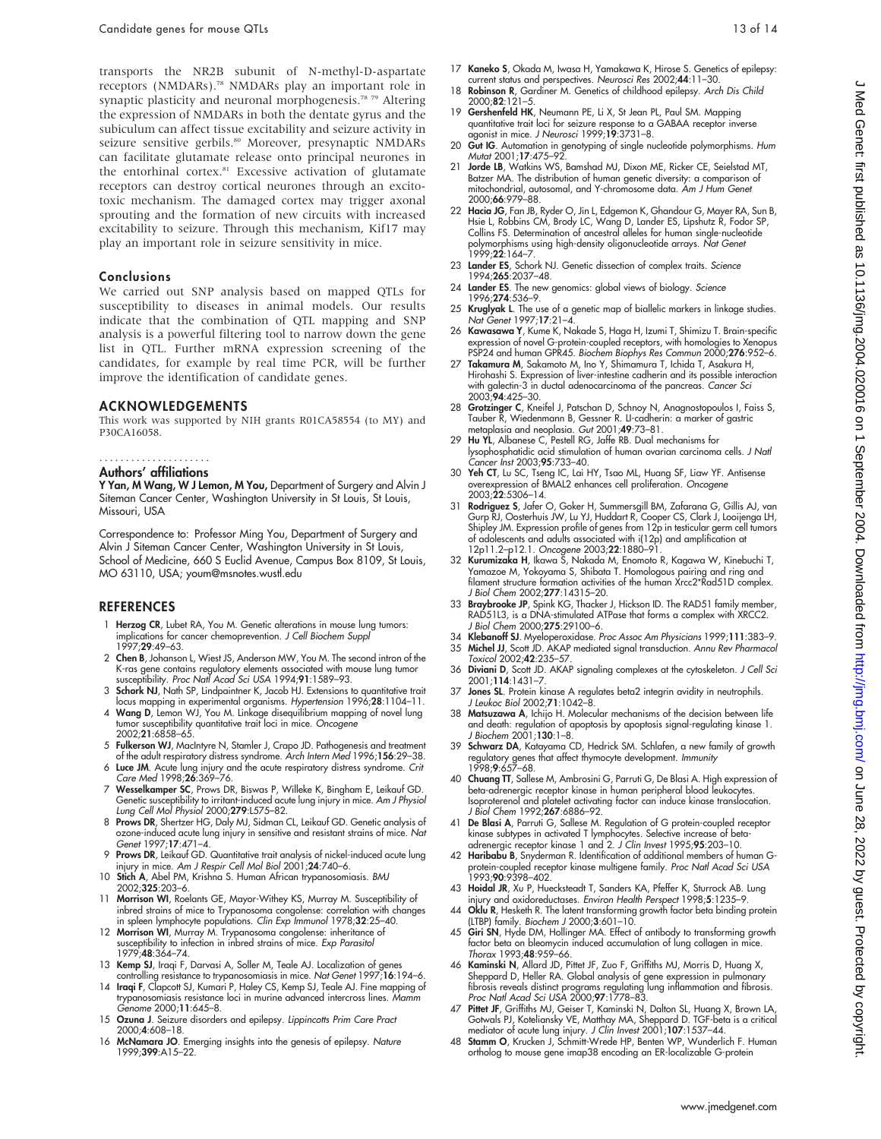transports the NR2B subunit of N-methyl-D-aspartate receptors (NMDARs).<sup>78</sup> NMDARs play an important role in synaptic plasticity and neuronal morphogenesis.<sup>78</sup> <sup>79</sup> Altering the expression of NMDARs in both the dentate gyrus and the subiculum can affect tissue excitability and seizure activity in seizure sensitive gerbils.<sup>80</sup> Moreover, presynaptic NMDARs can facilitate glutamate release onto principal neurones in the entorhinal cortex.<sup>81</sup> Excessive activation of glutamate receptors can destroy cortical neurones through an excitotoxic mechanism. The damaged cortex may trigger axonal sprouting and the formation of new circuits with increased excitability to seizure. Through this mechanism, Kif17 may play an important role in seizure sensitivity in mice.

#### Conclusions

We carried out SNP analysis based on mapped QTLs for susceptibility to diseases in animal models. Our results indicate that the combination of QTL mapping and SNP analysis is a powerful filtering tool to narrow down the gene list in QTL. Further mRNA expression screening of the candidates, for example by real time PCR, will be further improve the identification of candidate genes.

#### ACKNOWLEDGEMENTS

This work was supported by NIH grants R01CA58554 (to MY) and P30CA16058.

#### .....................

**Authors' affiliations**<br>**Y Yan, M Wang, W J Lemon, M You,** Department of Surgery and Alvin J Siteman Cancer Center, Washington University in St Louis, St Louis, Missouri, USA

Correspondence to: Professor Ming You, Department of Surgery and Alvin J Siteman Cancer Center, Washington University in St Louis, School of Medicine, 660 S Euclid Avenue, Campus Box 8109, St Louis, MO 63110, USA; youm@msnotes.wustl.edu

#### REFERENCES

- 1 Herzog CR, Lubet RA, You M. Genetic alterations in mouse lung tumors: implications for cancer chemoprevention. J Cell Biochem Suppl 1997**:29**:49-63
- 2 Chen B, Johanson L, Wiest JS, Anderson MW, You M. The second intron of the K-ras gene contains regulatory elements associated with mouse lung tumor susceptibility. Proc Natl Acad Sci USA 1994;91:1589–93.
- 3 Schork NJ, Nath SP, Lindpaintner K, Jacob HJ. Extensions to quantitative trait locus mapping in experimental organisms. Hypertension 1996;28:1104–11.
- 4 Wang D, Lemon WJ, You M. Linkage disequilibrium mapping of novel lung tumor susceptibility quantitative trait loci in mice. Oncogene 2002;21:6858–65.
- 5 Fulkerson WJ, MacIntyre N, Stamler J, Crapo JD. Pathogenesis and treatment
- of the adult respiratory distress syndrome. Arch Intern Med 1996;156:29–38. 6 Luce JM. Acute lung injury and the acute respiratory distress syndrome. Crit Care Med 1998;26:369–76.
- 7 Wesselkamper SC, Prows DR, Biswas P, Willeke K, Bingham E, Leikauf GD. Genetic susceptibility to irritant-induced acute lung injury in mice. Am J Physiol Lung Cell Mol Physiol 2000;279:L575–82.
- 8 Prows DR, Shertzer HG, Daly MJ, Sidman CL, Leikauf GD. Genetic analysis of ozone-induced acute lung injury in sensitive and resistant strains of mice. Nat Genet 1997:**17**:471-4
- 9 Prows DR, Leikauf GD. Quantitative trait analysis of nickel-induced acute lung injury in mice. Am J Respir Cell Mol Biol 2001;24:740–6.
- 10 Stich A, Abel PM, Krishna S. Human African trypanosomiasis. BMJ 2002;325:203–6.
- 11 Morrison WI, Roelants GE, Mayor-Withey KS, Murray M. Susceptibility of inbred strains of mice to Trypanosoma congolense: correlation with changes
- in spleen lymphocyte populations. *Clin Exp Immunol* 1978;32:25–40.<br>12 **Morrison WI**, Murray M. Trypanosoma congolense: inheritance of<br>susceptibility to infection in inbred strains of mice. *Exp Parasitol* 1979;48:364–74.
- 13 Kemp SJ, Iraqi F, Darvasi A, Soller M, Teale AJ. Localization of genes controlling resistance to trypanosomiasis in mice. Nat Genet 1997;16:194–6.
- 14 Iraqi F, Clapcott SJ, Kumari P, Haley CS, Kemp SJ, Teale AJ. Fine mapping of trypanosomiasis resistance loci in murine advanced intercross lines. Mamm Genome 2000;11:645–8.
- 15 Ozuna J. Seizure disorders and epilepsy. Lippincotts Prim Care Pract 2000;4:608–18.
- 16 McNamara JO. Emerging insights into the genesis of epilepsy. Nature 1999;399:A15–22.
- 17 Kaneko S, Okada M, Iwasa H, Yamakawa K, Hirose S. Genetics of epilepsy: current status and perspectives. Neurosci Res 2002;44:11–30.
- 18 Robinson R, Gardiner M. Genetics of childhood epilepsy. Arch Dis Child 2000;82:121–5.
- 19 Gershenfeld HK, Neumann PE, Li X, St Jean PL, Paul SM. Mapping quantitative trait loci for seizure response to a GABAA receptor inverse agonist in mice. J Neurosci 1999;19:3731–8.
- 20 Gut IG. Automation in genotyping of single nucleotide polymorphisms. Hum Mutat 2001;17:475–92.
- 21 Jorde LB, Watkins WS, Bamshad MJ, Dixon ME, Ricker CE, Seielstad MT, Batzer MA. The distribution of human genetic diversity: a comparison of mitochondrial, autosomal, and Y-chromosome data. Am J Hum Genet 2000;66:979–88.
- 22 Hacia JG, Fan JB, Ryder O, Jin L, Edgemon K, Ghandour G, Mayer RA, Sun B, Hsie L, Robbins CM, Brody LC, Wang D, Lander ES, Lipshutz R, Fodor SP, Collins FS. Determination of ancestral alleles for human single-nucleotide polymorphisms using high-density oligonucleotide arrays. Nat Genet 1999;22:164–7.
- 23 Lander ES, Schork NJ. Genetic dissection of complex traits. Science 1994;265:2037–48.
- 24 Lander ES. The new genomics: global views of biology. Science 1996;274:536–9.
- 25 Kruglyak L. The use of a genetic map of biallelic markers in linkage studies. Nat Genet 1997;17:21–4.
- 26 Kawasawa Y, Kume K, Nakade S, Haga H, Izumi T, Shimizu T. Brain-specific expression of novel G-protein-coupled receptors, with homologies to Xenopus PSP24 and human GPR45. Biochem Biophys Res Commun 2000;276:952-6.
- Takamura M, Sakamoto M, Ino Y, Shimamura T, Ichida T, Asakura H, Hirohashi S. Expression of liver-intestine cadherin and its possible interaction with galectin-3 in ductal adenocarcinoma of the pancreas. Cancer Sci 2003;94:425–30.
- 28 Grotzinger C, Kneifel J, Patschan D, Schnoy N, Anagnostopoulos I, Faiss S, Tauber R, Wiedenmann B, Gessner R. LI-cadherin: a marker of gastric metaplasia and neoplasia. Gut 2001;49:73–81.
- 29 Hu YL, Albanese C, Pestell RG, Jaffe RB. Dual mechanisms for lysophosphatidic acid stimulation of human ovarian carcinoma cells. J Natl Cancer Inst 2003;95:733–40.
- 30 Yeh CT, Lu SC, Tseng IC, Lai HY, Tsao ML, Huang SF, Liaw YF. Antisense overexpression of BMAL2 enhances cell proliferation. Oncogene 2003;22:5306–14.
- 31 Rodriguez S, Jafer O, Goker H, Summersgill BM, Zafarana G, Gillis AJ, van Gurp RJ, Oosterhuis JW, Lu YJ, Huddart R, Cooper CS, Clark J, Looijenga LH, Shipley JM. Expression profile of genes from 12p in testicular germ cell tumors of adolescents and adults associated with i(12p) and amplification at 12p11.2–p12.1. Oncogene 2003;22:1880–91.
- 32 Kurumizaka H, Ikawa S, Nakada M, Enomoto R, Kagawa W, Kinebuchi T, Yamazoe M, Yokoyama S, Shibata T. Homologous pairing and ring and filament structure formation activities of the human Xrcc2\*Rad51D complex. J Biol Chem 2002;277:14315–20.
- 33 Braybrooke JP, Spink KG, Thacker J, Hickson ID. The RAD51 family member, RAD51L3, is a DNA-stimulated ATPase that forms a complex with XRCC2. J Biol Chem 2000;275:29100–6.
- 34 Klebanoff SJ. Myeloperoxidase. Proc Assoc Am Physicians 1999;111:383–9. 35 Michel JJ, Scott JD. AKAP mediated signal transduction. Annu Rev Pharmacol Toxicol 2002;42:235–57.
- 36 Diviani D, Scott JD. AKAP signaling complexes at the cytoskeleton. J Cell Sci 2001;114:1431–7.
- 37 Jones SL. Protein kinase A regulates beta2 integrin avidity in neutrophils. J Leukoc Biol 2002;71:1042–8.
- 38 Matsuzawa A, Ichijo H. Molecular mechanisms of the decision between life and death: regulation of apoptosis by apoptosis signal-regulating kinase 1. J Biochem 2001;130:1–8.
- 39 Schwarz DA, Katayama CD, Hedrick SM. Schlafen, a new family of growth regulatory genes that affect thymocyte development. *Immunity*<br>1998;**9**:657–68.
- 40 Chuang TT, Sallese M, Ambrosini G, Parruti G, De Blasi A. High expression of beta-adrenergic receptor kinase in human peripheral blood leukocytes. Isoproterenol and platelet activating factor can induce kinase translocation. J Biol Chem 1992;267:6886–92.
- 41 De Blasi A, Parruti G, Sallese M. Regulation of G protein-coupled receptor kinase subtypes in activated T lymphocytes. Selective increase of betaadrenergic receptor kinase 1 and 2. J Clin Invest 1995;95:203–10.
- 42 Haribabu B, Snyderman R. Identification of additional members of human Gprotein-coupled receptor kinase multigene family. *Proc Natl Acad Sci USA*<br>1993;**90**:9398–402.
- 43 Hoidal JR, Xu P, Huecksteadt T, Sanders KA, Pfeffer K, Sturrock AB. Lung injury and oxidoreductases. Environ Health Perspect 1998;5:1235–9.
- 44 Oklu R, Hesketh R. The latent transforming growth factor beta binding protein (LTBP) family. Biochem J 2000;3:601–10.
- 45 Giri SN, Hyde DM, Hollinger MA. Effect of antibody to transforming growth factor beta on bleomycin induced accumulation of lung collagen in mice. Thorax 1993;48:959–66.
- 46 Kaminski N, Allard JD, Pittet JF, Zuo F, Griffiths MJ, Morris D, Huang X, Sheppard D, Heller RA. Global analysis of gene expression in pulmonary fibrosis reveals distinct programs regulating lung inflammation and fibrosis. Proc Natl Acad Sci USA 2000;97:1778-83.
- 47 Pittet JF, Griffiths MJ, Geiser T, Kaminski N, Dalton SL, Huang X, Brown LA, Gotwals PJ, Koteliansky VE, Matthay MA, Sheppard D. TGF-beta is a critical
- mediator of acute lung injury. *J Clin Invest* 2001;1**07**:1537–44.<br>48 **Stamm O**, Krucken J, Schmitt-Wrede HP, Benten WP, Wunderlich F. Human ortholog to mouse gene imap38 encoding an ER-localizable G-protein